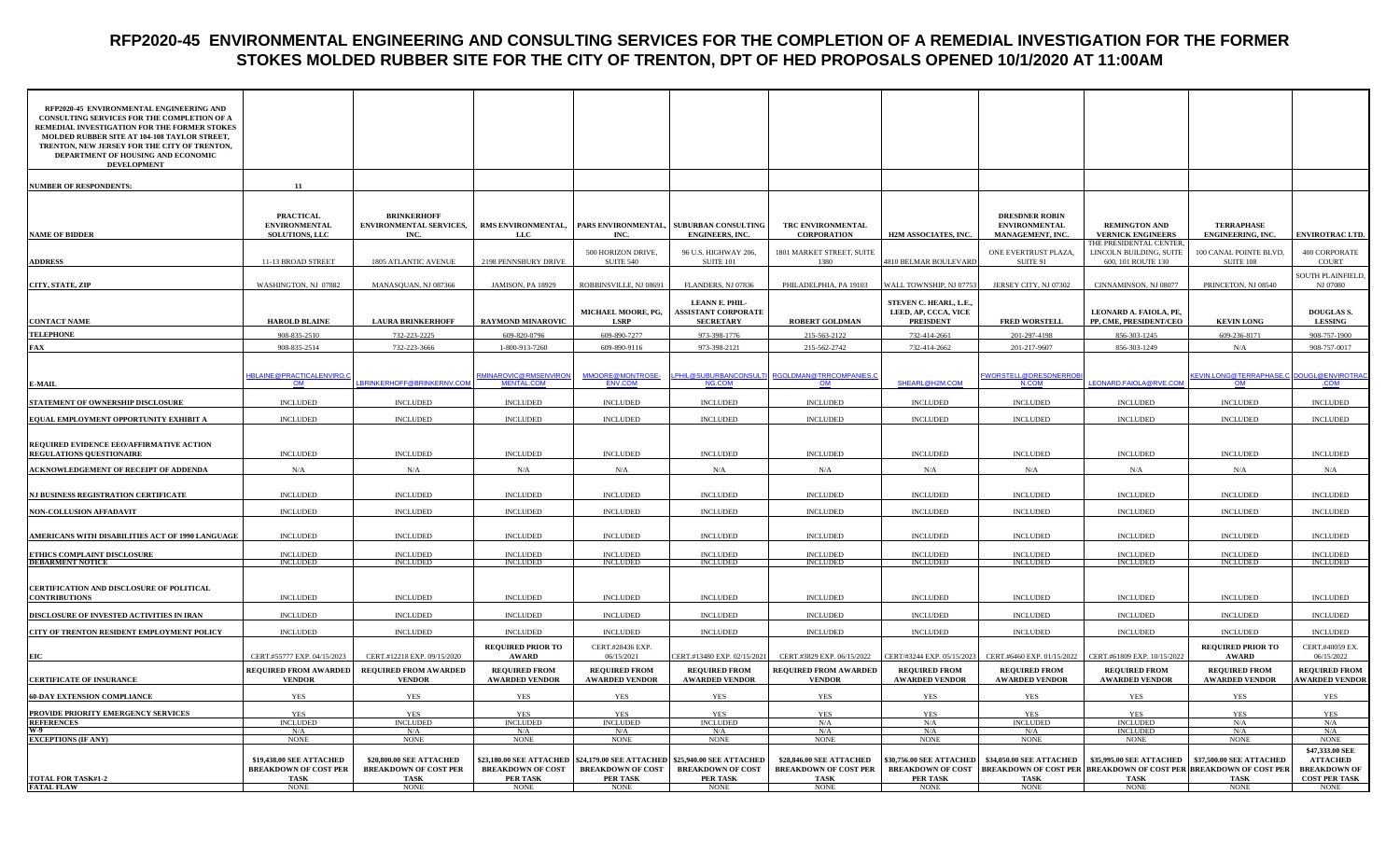#### **RFP2020-45 ENVIRONMENTAL ENGINEERING AND CONSULTING SERVICES FOR THE COMPLETION OF A REMEDIAL INVESTIGATION FOR THE FORMER STOKES MOLDED RUBBER SITE FOR THE CITY OF TRENTON, DPT OF HED PROPOSALS OPENED 10/1/2020 AT 11:00AM**

| RFP2020-45 ENVIRONMENTAL ENGINEERING AND<br>CONSULTING SERVICES FOR THE COMPLETION OF A<br>REMEDIAL INVESTIGATION FOR THE FORMER STOKES<br>MOLDED RUBBER SITE AT 104-108 TAYLOR STREET,<br>TRENTON, NEW JERSEY FOR THE CITY OF TRENTON,<br>DEPARTMENT OF HOUSING AND ECONOMIC<br><b>DEVELOPMENT</b> |                                                                         |                                                                                |                                                 |                                               |                                                                                                                        |                                                                                |                                                                   |                                                                                                              |                                                                                  |                                                             |                                                                                   |
|-----------------------------------------------------------------------------------------------------------------------------------------------------------------------------------------------------------------------------------------------------------------------------------------------------|-------------------------------------------------------------------------|--------------------------------------------------------------------------------|-------------------------------------------------|-----------------------------------------------|------------------------------------------------------------------------------------------------------------------------|--------------------------------------------------------------------------------|-------------------------------------------------------------------|--------------------------------------------------------------------------------------------------------------|----------------------------------------------------------------------------------|-------------------------------------------------------------|-----------------------------------------------------------------------------------|
| <b>NUMBER OF RESPONDENTS:</b>                                                                                                                                                                                                                                                                       | $11\,$                                                                  |                                                                                |                                                 |                                               |                                                                                                                        |                                                                                |                                                                   |                                                                                                              |                                                                                  |                                                             |                                                                                   |
| <b>NAME OF BIDDER</b>                                                                                                                                                                                                                                                                               | <b>PRACTICAL</b><br><b>ENVIRONMENTAL</b><br><b>SOLUTIONS, LLC</b>       | <b>BRINKERHOFF</b><br>ENVIRONMENTAL SERVICES,<br>INC.                          | <b>RMS ENVIRONMENTAL,</b><br>LLC                | INC.                                          | PARS ENVIRONMENTAL, SUBURBAN CONSULTING<br><b>ENGINEERS, INC.</b>                                                      | TRC ENVIRONMENTAL<br><b>CORPORATION</b>                                        | H2M ASSOCIATES, INC.                                              | <b>DRESDNER ROBIN</b><br><b>ENVIRONMENTAL</b><br>MANAGEMENT, INC.                                            | <b>REMINGTON AND</b><br><b>VERNICK ENGINEERS</b><br><b>HE PRESIDENTAL CENTER</b> | <b>TERRAPHASE</b><br>ENGINEERING, INC.                      | <b>ENVIROTRAC LTD.</b>                                                            |
| <b>ADDRESS</b>                                                                                                                                                                                                                                                                                      | 11-13 BROAD STREET                                                      | 1805 ATLANTIC AVENUE                                                           | 2198 PENNSBURY DRIVE                            | 500 HORIZON DRIVE,<br><b>SUITE 540</b>        | 96 U.S. HIGHWAY 206,<br><b>SUITE 101</b>                                                                               | 1801 MARKET STREET, SUITE<br>1380                                              | 4810 BELMAR BOULEVARD                                             | ONE EVERTRUST PLAZA,<br>SUITE 91                                                                             | LINCOLN BUILDING, SUITE<br>600, 101 ROUTE 130                                    | 100 CANAL POINTE BLVD,<br><b>SUITE 108</b>                  | 400 CORPORATE<br>COURT                                                            |
| CITY, STATE, ZIP                                                                                                                                                                                                                                                                                    | WASHINGTON, NJ 07882                                                    | MANASQUAN, NJ 087366                                                           | JAMISON, PA 18929                               | ROBBINSVILLE, NJ 08691                        | FLANDERS, NJ 07836                                                                                                     | PHILADELPHIA, PA 19103                                                         | WALL TOWNSHIP, NJ 0775                                            | JERSEY CITY, NJ 07302                                                                                        | CINNAMINSON, NJ 08077                                                            | PRINCETON, NJ 08540                                         | SOUTH PLAINFIELD,<br>NJ 07080                                                     |
| <b>CONTACT NAME</b>                                                                                                                                                                                                                                                                                 | <b>HAROLD BLAINE</b>                                                    | <b>LAURA BRINKERHOFF</b>                                                       | RAYMOND MINAROVIC                               | MICHAEL MOORE, PG,<br><b>LSRP</b>             | LEANN E. PHIL-<br><b>ASSISTANT CORPORATE</b><br><b>SECRETARY</b>                                                       | <b>ROBERT GOLDMAN</b>                                                          | STEVEN C. HEARL, L.E.<br>LEED, AP, CCCA, VICE<br><b>PREISDENT</b> | <b>FRED WORSTELL</b>                                                                                         | LEONARD A. FAIOLA, PE,<br>PP, CME, PRESIDENT/CEO                                 | <b>KEVIN LONG</b>                                           | DOUGLAS S.<br><b>LESSING</b>                                                      |
| <b>TELEPHONE</b>                                                                                                                                                                                                                                                                                    | 908-835-2510                                                            | 732-223-2225                                                                   | 609-820-0796                                    | 609-890-7277                                  | 973-398-1776                                                                                                           | 215-563-2122                                                                   | 732-414-2661                                                      | 201-297-4198                                                                                                 | 856-303-1245                                                                     | 609-236-8171                                                | 908-757-1900                                                                      |
| <b>FAX</b>                                                                                                                                                                                                                                                                                          | 908-835-2514                                                            | 732-223-3666                                                                   | 1-800-913-7260                                  | 609-890-9116                                  | 973-398-2121                                                                                                           | 215-562-2742                                                                   | 732-414-2662                                                      | 201-217-9607                                                                                                 | 856-303-1249                                                                     | N/A                                                         | 908-757-0017                                                                      |
| E-MAIL                                                                                                                                                                                                                                                                                              | HBLAINE@PRACTICALENVIRO.<br><b>OM</b>                                   | <b>BRINKERHOFF@BRINKERNV.COM</b>                                               | <u>MINAROVIC@RMSENVIRC</u><br><b>MENTAL.COM</b> | MMOORE@MONTROSE-<br>ENV.COM                   | PHIL@SUBURBANCONSULTI<br>NG.COM                                                                                        | RGOLDMAN@TRRCOMPANIES.0<br>OM                                                  | SHEARL@H2M.COM                                                    | <u>WORSTELL@DRESDNERRO</u><br>N.COM                                                                          | EONARD.FAIOLA@RVE.COM                                                            | <u>EVIN.LONG@TERRAPHASE.C</u> _DOUGL@ENVIROTRA<br><b>OM</b> | COM                                                                               |
| STATEMENT OF OWNERSHIP DISCLOSURE                                                                                                                                                                                                                                                                   | <b>INCLUDED</b>                                                         | <b>INCLUDED</b>                                                                | <b>INCLUDED</b>                                 | <b>INCLUDED</b>                               | <b>INCLUDED</b>                                                                                                        | <b>INCLUDED</b>                                                                | <b>INCLUDED</b>                                                   | <b>INCLUDED</b>                                                                                              | <b>INCLUDED</b>                                                                  | <b>INCLUDED</b>                                             | <b>INCLUDED</b>                                                                   |
| EQUAL EMPLOYMENT OPPORTUNITY EXHIBIT A                                                                                                                                                                                                                                                              | <b>INCLUDED</b>                                                         | <b>INCLUDED</b>                                                                | <b>INCLUDED</b>                                 | <b>INCLUDED</b>                               | <b>INCLUDED</b>                                                                                                        | <b>INCLUDED</b>                                                                | <b>INCLUDED</b>                                                   | <b>INCLUDED</b>                                                                                              | <b>INCLUDED</b>                                                                  | <b>INCLUDED</b>                                             | <b>INCLUDED</b>                                                                   |
| REQUIRED EVIDENCE EEO/AFFIRMATIVE ACTION<br><b>REGULATIONS QUESTIONAIRE</b>                                                                                                                                                                                                                         | <b>INCLUDED</b>                                                         | <b>INCLUDED</b>                                                                | <b>INCLUDED</b>                                 | <b>INCLUDED</b>                               | <b>INCLUDED</b>                                                                                                        | <b>INCLUDED</b>                                                                | <b>INCLUDED</b>                                                   | <b>INCLUDED</b>                                                                                              | <b>INCLUDED</b>                                                                  | <b>INCLUDED</b>                                             | <b>INCLUDED</b>                                                                   |
| ACKNOWLEDGEMENT OF RECEIPT OF ADDENDA                                                                                                                                                                                                                                                               | $\rm N/A$                                                               | N/A                                                                            | N/A                                             | N/A                                           | N/A                                                                                                                    | N/A                                                                            | N/A                                                               | N/A                                                                                                          | N/A                                                                              | N/A                                                         | N/A                                                                               |
| NJ BUSINESS REGISTRATION CERTIFICATE                                                                                                                                                                                                                                                                | <b>INCLUDED</b>                                                         | $\sf INCLUDED$                                                                 | <b>INCLUDED</b>                                 | <b>INCLUDED</b>                               | <b>INCLUDED</b>                                                                                                        | <b>INCLUDED</b>                                                                | <b>INCLUDED</b>                                                   | <b>INCLUDED</b>                                                                                              | <b>INCLUDED</b>                                                                  | <b>INCLUDED</b>                                             | <b>INCLUDED</b>                                                                   |
| NON-COLLUSION AFFADAVIT                                                                                                                                                                                                                                                                             | <b>INCLUDED</b>                                                         | <b>INCLUDED</b>                                                                | <b>INCLUDED</b>                                 | <b>INCLUDED</b>                               | <b>INCLUDED</b>                                                                                                        | <b>INCLUDED</b>                                                                | <b>INCLUDED</b>                                                   | <b>INCLUDED</b>                                                                                              | <b>INCLUDED</b>                                                                  | <b>INCLUDED</b>                                             | <b>INCLUDED</b>                                                                   |
| AMERICANS WITH DISABILITIES ACT OF 1990 LANGUAGE                                                                                                                                                                                                                                                    | <b>INCLUDED</b>                                                         | <b>INCLUDED</b>                                                                | <b>INCLUDED</b>                                 | <b>INCLUDED</b>                               | <b>INCLUDED</b>                                                                                                        | <b>INCLUDED</b>                                                                | <b>INCLUDED</b>                                                   | <b>INCLUDED</b>                                                                                              | <b>INCLUDED</b>                                                                  | <b>INCLUDED</b>                                             | <b>INCLUDED</b>                                                                   |
| ETHICS COMPLAINT DISCLOSURE<br><b>DEBARMENT NOTICE</b>                                                                                                                                                                                                                                              | <b>INCLUDED</b><br><b>INCLUDED</b>                                      | <b>INCLUDED</b><br><b>INCLUDED</b>                                             | <b>INCLUDED</b><br><b>INCLUDED</b>              | <b>INCLUDED</b><br><b>INCLUDED</b>            | <b>INCLUDED</b><br><b>INCLUDED</b>                                                                                     | <b>INCLUDED</b><br><b>INCLUDED</b>                                             | <b>INCLUDED</b><br><b>INCLUDED</b>                                | <b>INCLUDED</b><br><b>INCLUDED</b>                                                                           | <b>INCLUDED</b><br><b>INCLUDED</b>                                               | <b>INCLUDED</b><br><b>INCLUDED</b>                          | <b>INCLUDED</b><br><b>INCLUDED</b>                                                |
|                                                                                                                                                                                                                                                                                                     |                                                                         |                                                                                |                                                 |                                               |                                                                                                                        |                                                                                |                                                                   |                                                                                                              |                                                                                  |                                                             |                                                                                   |
| CERTIFICATION AND DISCLOSURE OF POLITICAL<br><b>CONTRIBUTIONS</b>                                                                                                                                                                                                                                   | <b>INCLUDED</b>                                                         | <b>INCLUDED</b>                                                                | <b>INCLUDED</b>                                 | <b>INCLUDED</b>                               | <b>INCLUDED</b>                                                                                                        | <b>INCLUDED</b>                                                                | <b>INCLUDED</b>                                                   | <b>INCLUDED</b>                                                                                              | <b>INCLUDED</b>                                                                  | <b>INCLUDED</b>                                             | <b>INCLUDED</b>                                                                   |
| DISCLOSURE OF INVESTED ACTIVITIES IN IRAN                                                                                                                                                                                                                                                           | <b>INCLUDED</b>                                                         | <b>INCLUDED</b>                                                                | <b>INCLUDED</b>                                 | <b>INCLUDED</b>                               | <b>INCLUDED</b>                                                                                                        | <b>INCLUDED</b>                                                                | <b>INCLUDED</b>                                                   | <b>INCLUDED</b>                                                                                              | <b>INCLUDED</b>                                                                  | <b>INCLUDED</b>                                             | <b>INCLUDED</b>                                                                   |
| CITY OF TRENTON RESIDENT EMPLOYMENT POLICY                                                                                                                                                                                                                                                          | <b>INCLUDED</b>                                                         | <b>INCLUDED</b>                                                                | <b>INCLUDED</b>                                 | <b>INCLUDED</b>                               | <b>INCLUDED</b>                                                                                                        | <b>INCLUDED</b>                                                                | <b>INCLUDED</b>                                                   | <b>INCLUDED</b>                                                                                              | <b>INCLUDED</b>                                                                  | <b>INCLUDED</b>                                             | <b>INCLUDED</b>                                                                   |
|                                                                                                                                                                                                                                                                                                     |                                                                         |                                                                                | <b>REQUIRED PRIOR TO</b>                        | CERT.#28436 EXP.                              |                                                                                                                        |                                                                                |                                                                   |                                                                                                              |                                                                                  | <b>REQUIRED PRIOR TO</b>                                    | CERT.#40059 EX.                                                                   |
| EIC.                                                                                                                                                                                                                                                                                                | CERT.#55777 EXP. 04/15/2023                                             | CERT.#12218 EXP. 09/15/2020                                                    | <b>AWARD</b>                                    | 06/15/2021                                    | CERT.#13480 EXP. 02/15/2021                                                                                            | CERT.#3829 EXP. 06/15/2022                                                     | CERT/#3244 EXP. 05/15/2023                                        | CERT.#6460 EXP. 01/15/2022                                                                                   | CERT.#61809 EXP. 10/15/2022                                                      | <b>AWARD</b>                                                | 06/15/2022                                                                        |
| <b>CERTIFICATE OF INSURANCE</b>                                                                                                                                                                                                                                                                     | REQUIRED FROM AWARDED<br><b>VENDOR</b>                                  | <b>REQUIRED FROM AWARDED</b><br><b>VENDOR</b>                                  | <b>REQUIRED FROM</b><br><b>AWARDED VENDOR</b>   | <b>REQUIRED FROM</b><br><b>AWARDED VENDOR</b> | <b>REQUIRED FROM</b><br><b>AWARDED VENDOR</b>                                                                          | REQUIRED FROM AWARDED<br><b>VENDOR</b>                                         | <b>REQUIRED FROM</b><br><b>AWARDED VENDOR</b>                     | <b>REQUIRED FROM</b><br><b>AWARDED VENDOR</b>                                                                | <b>REQUIRED FROM</b><br><b>AWARDED VENDOR</b>                                    | <b>REQUIRED FROM</b><br><b>AWARDED VENDOR</b>               | <b>REQUIRED FROM</b><br><b>AWARDED VENDOR</b>                                     |
| <b>60-DAY EXTENSION COMPLIANCE</b>                                                                                                                                                                                                                                                                  | YES                                                                     | <b>YES</b>                                                                     | <b>YES</b>                                      | <b>YES</b>                                    | YES                                                                                                                    | YES                                                                            | <b>YES</b>                                                        | <b>YES</b>                                                                                                   | <b>YES</b>                                                                       | YES                                                         | <b>YES</b>                                                                        |
| PROVIDE PRIORITY EMERGENCY SERVICES                                                                                                                                                                                                                                                                 | <b>YES</b>                                                              | <b>YES</b>                                                                     | <b>YES</b>                                      | <b>YES</b>                                    | <b>YES</b>                                                                                                             | <b>YES</b>                                                                     | <b>YES</b>                                                        | <b>YES</b>                                                                                                   | YES                                                                              | <b>YES</b>                                                  | <b>YES</b>                                                                        |
| <b>REFERENCES</b><br>v.o                                                                                                                                                                                                                                                                            | <b>INCLUDED</b><br>N/A                                                  | <b>INCLUDED</b><br>N/A                                                         | <b>INCLUDED</b><br>N/A                          | <b>INCLUDED</b><br>N/A                        | <b>INCLUDED</b><br>N/A                                                                                                 | N/A<br>N/A                                                                     | N/A<br>N/A                                                        | <b>INCLUDED</b><br>N/A                                                                                       | <b>INCLUDED</b><br><b>INCLUDED</b>                                               | N/A<br>N/A                                                  | N/A<br>N/A                                                                        |
| <b>EXCEPTIONS (IF ANY)</b>                                                                                                                                                                                                                                                                          | <b>NONE</b>                                                             | <b>NONE</b>                                                                    | <b>NONE</b>                                     | <b>NONE</b>                                   | <b>NONE</b>                                                                                                            | <b>NONE</b>                                                                    | <b>NONE</b>                                                       | <b>NONE</b>                                                                                                  | <b>NONE</b>                                                                      | <b>NONE</b>                                                 | <b>NONE</b>                                                                       |
| TOTAL FOR TASK#1-2                                                                                                                                                                                                                                                                                  | <b>\$19,438.00 SEE ATTACHED</b><br><b>BREAKDOWN OF COST PER</b><br>TASK | <b>\$20,800.00 SEE ATTACHED</b><br><b>BREAKDOWN OF COST PER</b><br><b>TASK</b> | <b>BREAKDOWN OF COST</b><br>PER TASK            | <b>BREAKDOWN OF COST</b><br><b>PER TASK</b>   | \$23,180.00 SEE ATTACHED   \$24,179.00 SEE ATTACHED   \$25,940.00 SEE ATTACHED<br><b>BREAKDOWN OF COST</b><br>PER TASK | <b>\$28,846.00 SEE ATTACHED</b><br><b>BREAKDOWN OF COST PER</b><br><b>TASK</b> | \$30,756.00 SEE ATTACHED<br><b>BREAKDOWN OF COST</b><br>PER TASK  | \$34,050.00 SEE ATTACHED<br><b>BREAKDOWN OF COST PER BREAKDOWN OF COST PER BREAKDOWN OF COST PER</b><br>TASK | \$35,995.00 SEE ATTACHED<br><b>TASK</b>                                          | \$37,500.00 SEE ATTACHED<br><b>TASK</b>                     | \$47,333.00 SEE<br><b>ATTACHED</b><br><b>BREAKDOWN OF</b><br><b>COST PER TASK</b> |
| <b>FATAL FLAW</b>                                                                                                                                                                                                                                                                                   | <b>NONE</b>                                                             | <b>NONE</b>                                                                    | <b>NONE</b>                                     | <b>NONE</b>                                   | <b>NONE</b>                                                                                                            | <b>NONE</b>                                                                    | <b>NONE</b>                                                       | <b>NONE</b>                                                                                                  | <b>NONE</b>                                                                      | <b>NONE</b>                                                 | <b>NONE</b>                                                                       |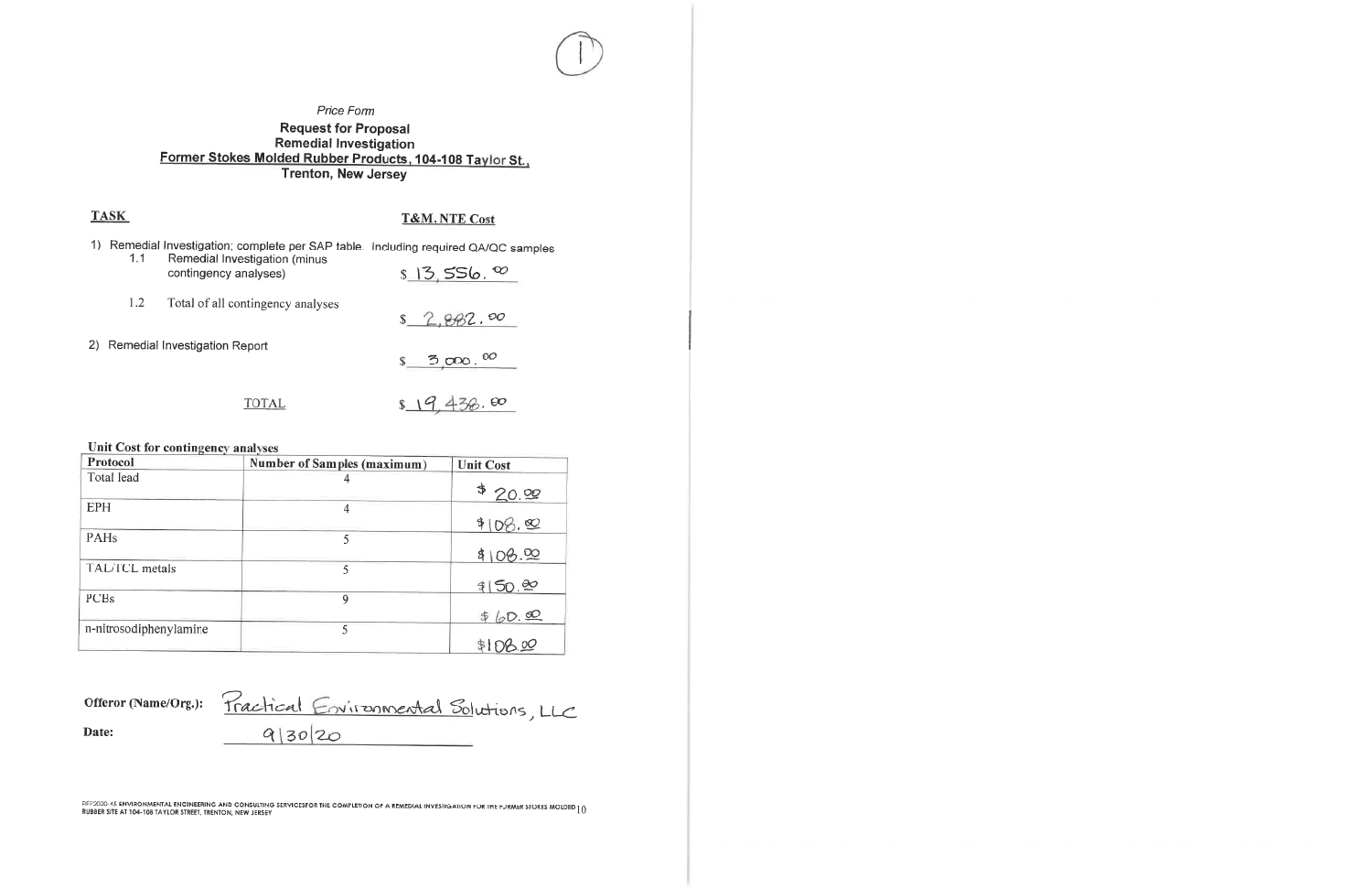

#### **Request for Proposal** Remedial Investigation Former Stokes Molded Rubber Products, 104-108 Taylor St., **Trenton, New Jersey**

#### **TASK**

#### T&M, NTE Cost

|     | 1) Remedial Investigation; complete per SAP table. Including required QA/QC samples<br>Remedial Investigation (minus |                              |
|-----|----------------------------------------------------------------------------------------------------------------------|------------------------------|
|     | contingency analyses)                                                                                                | $\frac{13}{5}$ 556, $\infty$ |
| 1.2 | Total of all contingency analyses                                                                                    | 2.862.00                     |

2) Remedial Investigation Report

#### **TOTAL**

 $819,438.80$ 

 $$3,000,00$ 

#### **Unit Cost for contingency analyses**

| Protocol               | <b>Number of Samples (maximum)</b> | <b>Unit Cost</b> |
|------------------------|------------------------------------|------------------|
| Total lead             |                                    | 820.00           |
| <b>EPH</b>             | 4                                  | 4108.00          |
| PAHs                   |                                    | \$108.00         |
| TAL/TCL metals         | 5                                  | 350.80           |
| <b>PCBs</b>            | 9                                  | \$6D\$0          |
| n-nitrosodiphenylamine | 5                                  | \$1              |

Practical Environmental Solutions, LLC Offeror (Name/Org.): 9/30/20 Date:

 $\mathsf{RF2O2O445}$  environmental engineering and consulting servicesfor the completion of a remedial investigation for the former stokes molded  $10$ <br>RUBBER SITE AT 104-108 TAYLOR STREET, TRENTON, NEW JERSEY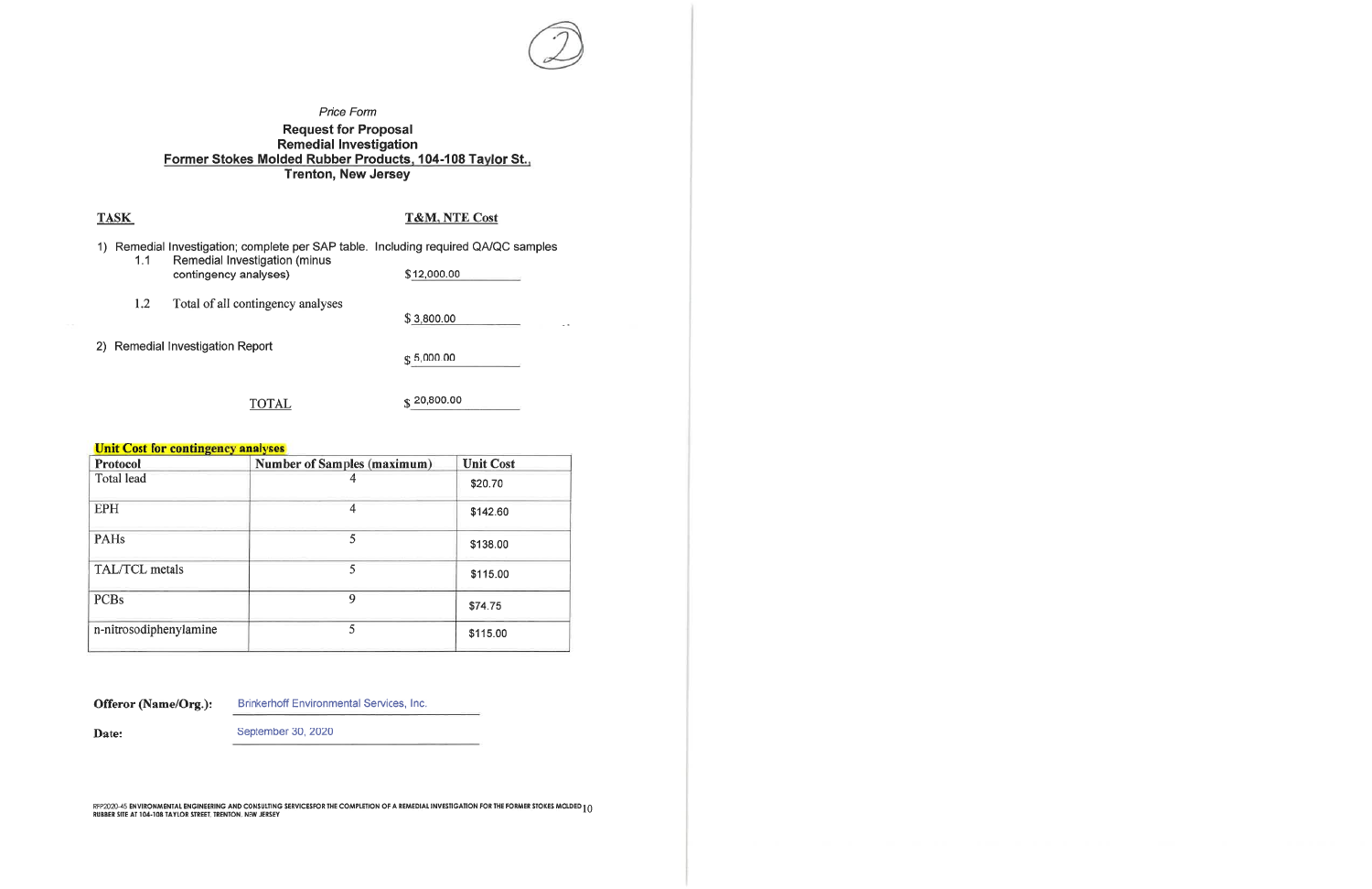

#### **Request for Proposal** Remedial Investigation Former Stokes Molded Rubber Products, 104-108 Taylor St., **Trenton, New Jersey**

#### **TASK**

#### **T&M, NTE Cost**

1) Remedial Investigation; complete per SAP table. Including required QA/QC samples Remedial Investigation (minus  $1.1$ 

contingency analyses)

 $$12,000.00$ 

Total of all contingency analyses  $1.2$ 

 $$3,800.00$ 

2) Remedial Investigation Report

 $$5,000.00$ 

**TOTAL** 

 $$20,800.00$ 

#### **Unit Cost for contingency analyses**

| Protocol               | <b>Number of Samples (maximum)</b> | <b>Unit Cost</b> |
|------------------------|------------------------------------|------------------|
| Total lead             |                                    | \$20.70          |
| <b>EPH</b>             | 4                                  | \$142.60         |
| <b>PAHs</b>            | 5                                  | \$138.00         |
| TAL/TCL metals         | 5                                  | \$115.00         |
| <b>PCBs</b>            | 9                                  | \$74.75          |
| n-nitrosodiphenylamine |                                    | \$115.00         |

Offeror (Name/Org.):

**Brinkerhoff Environmental Services, Inc.** 

Date:

September 30, 2020

RFP2020-45 ENVIRONMENTAL ENGINEERING AND CONSULTING SERVICESFOR THE COMPLETION OF A REMEDIAL INVESTIGATION FOR THE FORMER STOKES MOLDED  $10$ RUBBER SITE AT 104-108 TAYLOR STREET, TRENTON, NEW JERSEY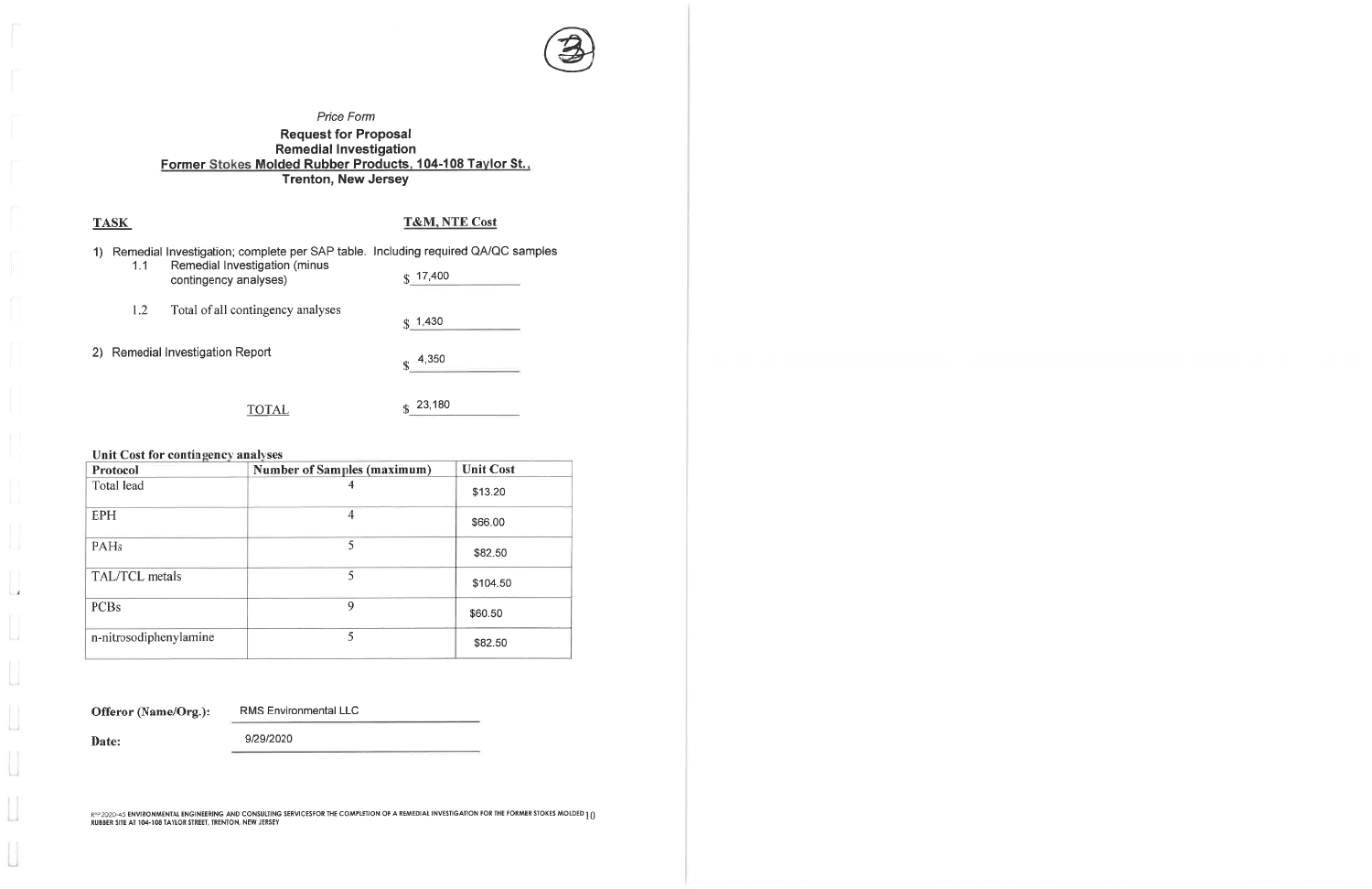

#### **Request for Proposal Remedial Investigation** Former Stokes Molded Rubber Products, 104-108 Taylor St., **Trenton, New Jersey**

#### **TASK**

#### **T&M, NTE Cost**

 $$^{17,400}$ 

 $$1,430$ 

 $$^{4,350}$ 

1) Remedial Investigation; complete per SAP table. Including required QA/QC samples

- Remedial Investigation (minus  $1.1$ contingency analyses)
- Total of all contingency analyses 1.2

2) Remedial Investigation Report

**TOTAL** 

 $\frac{23,180}{2}$ 

#### Unit Cost for contingency analyses

| Protocol               | <b>Number of Samples (maximum)</b> | <b>Unit Cost</b> |
|------------------------|------------------------------------|------------------|
| Total lead             |                                    | \$13.20          |
| <b>EPH</b>             | 4                                  | \$66.00          |
| PAHs                   | 5                                  | \$82.50          |
| TAL/TCL metals         | 5                                  | \$104.50         |
| <b>PCBs</b>            | 9                                  | \$60.50          |
| n-nitrosodiphenylamine | 5                                  | \$82.50          |

Offeror (Name/Org.):

**RMS Environmental LLC** 

Date:

Ц.

u

 $\overline{\mathbb{L}}$ 

 $\overline{\mathbb{L}}$ 

U

Ш

L

9/29/2020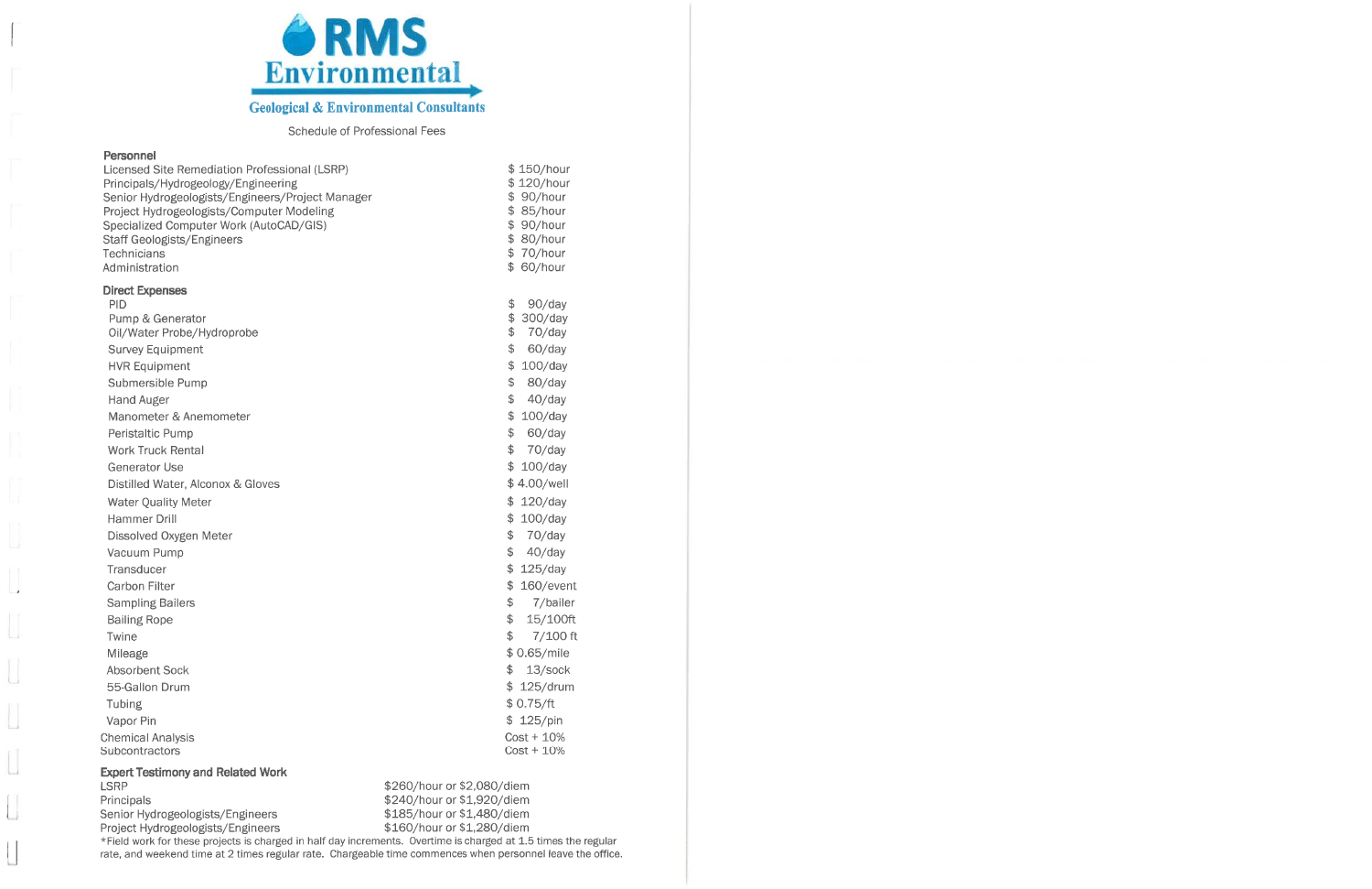

## **Geological & Environmental Consultants**

#### Schedule of Professional Fees

Domannal

 $\Box$ 

Ü

 $\begin{array}{c} \begin{bmatrix} \phantom{-} \end{bmatrix} \end{array}$ 

 $\overline{\mathbb{L}}$ 

سا

 $\mathbf{F}$  $\leftarrow$ 

U

| <b>Personnel</b><br>Licensed Site Remediation Professional (LSRP)<br>Principals/Hydrogeology/Engineering<br>Senior Hydrogeologists/Engineers/Project Manager<br>Project Hydrogeologists/Computer Modeling<br>Specialized Computer Work (AutoCAD/GIS)<br><b>Staff Geologists/Engineers</b><br>Technicians<br>Administration                                                     | \$150/hour<br>\$120/hour<br>\$ 90/hour<br>\$ 85/hour<br>\$90/hour<br>\$ 80/hour<br>\$70/hour<br>\$ 60/hour           |
|--------------------------------------------------------------------------------------------------------------------------------------------------------------------------------------------------------------------------------------------------------------------------------------------------------------------------------------------------------------------------------|----------------------------------------------------------------------------------------------------------------------|
| <b>Direct Expenses</b>                                                                                                                                                                                                                                                                                                                                                         |                                                                                                                      |
| <b>PID</b><br>Pump & Generator<br>Oil/Water Probe/Hydroprobe<br><b>Survey Equipment</b>                                                                                                                                                                                                                                                                                        | \$<br>$90$ /day<br>\$300/day<br>\$<br>70/day<br>\$<br>60/day                                                         |
| <b>HVR Equipment</b>                                                                                                                                                                                                                                                                                                                                                           | \$<br>$100$ /day                                                                                                     |
| Submersible Pump                                                                                                                                                                                                                                                                                                                                                               | \$<br>80/day                                                                                                         |
| <b>Hand Auger</b>                                                                                                                                                                                                                                                                                                                                                              | \$<br>$40$ /day                                                                                                      |
| Manometer & Anemometer                                                                                                                                                                                                                                                                                                                                                         | 100/day<br>\$                                                                                                        |
| Peristaltic Pump                                                                                                                                                                                                                                                                                                                                                               | \$<br>60/day                                                                                                         |
| <b>Work Truck Rental</b>                                                                                                                                                                                                                                                                                                                                                       | \$<br>70/day                                                                                                         |
| <b>Generator Use</b>                                                                                                                                                                                                                                                                                                                                                           | $100$ /day<br>\$                                                                                                     |
| Distilled Water, Alconox & Gloves                                                                                                                                                                                                                                                                                                                                              | \$4.00/well                                                                                                          |
| <b>Water Quality Meter</b>                                                                                                                                                                                                                                                                                                                                                     | $120$ /day<br>\$                                                                                                     |
| Hammer Drill                                                                                                                                                                                                                                                                                                                                                                   | $100$ /day<br>\$                                                                                                     |
| Dissolved Oxygen Meter                                                                                                                                                                                                                                                                                                                                                         | 70/day<br>\$                                                                                                         |
| Vacuum Pump                                                                                                                                                                                                                                                                                                                                                                    | \$<br>$40$ /day                                                                                                      |
| Transducer                                                                                                                                                                                                                                                                                                                                                                     | $125$ /day<br>\$                                                                                                     |
| <b>Carbon Filter</b>                                                                                                                                                                                                                                                                                                                                                           | 160/event<br>\$                                                                                                      |
| <b>Sampling Bailers</b>                                                                                                                                                                                                                                                                                                                                                        | \$<br>7/bailer                                                                                                       |
| <b>Bailing Rope</b>                                                                                                                                                                                                                                                                                                                                                            | \$<br>15/100ft                                                                                                       |
| Twine                                                                                                                                                                                                                                                                                                                                                                          | 7/100 ft<br>\$                                                                                                       |
| Mileage                                                                                                                                                                                                                                                                                                                                                                        | \$0.65/mile                                                                                                          |
| <b>Absorbent Sock</b>                                                                                                                                                                                                                                                                                                                                                          | \$<br>13/sock                                                                                                        |
| 55-Gallon Drum                                                                                                                                                                                                                                                                                                                                                                 | \$125/drum                                                                                                           |
| Tubing                                                                                                                                                                                                                                                                                                                                                                         | \$0.75/ft                                                                                                            |
| Vapor Pin                                                                                                                                                                                                                                                                                                                                                                      | \$125/pin                                                                                                            |
| <b>Chemical Analysis</b>                                                                                                                                                                                                                                                                                                                                                       | $Cost + 10\%$                                                                                                        |
| Subcontractors                                                                                                                                                                                                                                                                                                                                                                 | $Cost + 10\%$                                                                                                        |
| <b>Expert Testimony and Related Work</b><br><b>LSRP</b><br>Principals<br>Senior Hydrogeologists/Engineers<br>Project Hydrogeologists/Engineers<br>*Field work for these projects is charged in half day increments. Overtime is charged at 1.5 times the regular<br>rate, and weekend time at 2 times regular rate. Chargeable time commences when personnel leave the office. | \$260/hour or \$2,080/diem<br>\$240/hour or \$1,920/diem<br>\$185/hour or \$1,480/diem<br>\$160/hour or \$1,280/diem |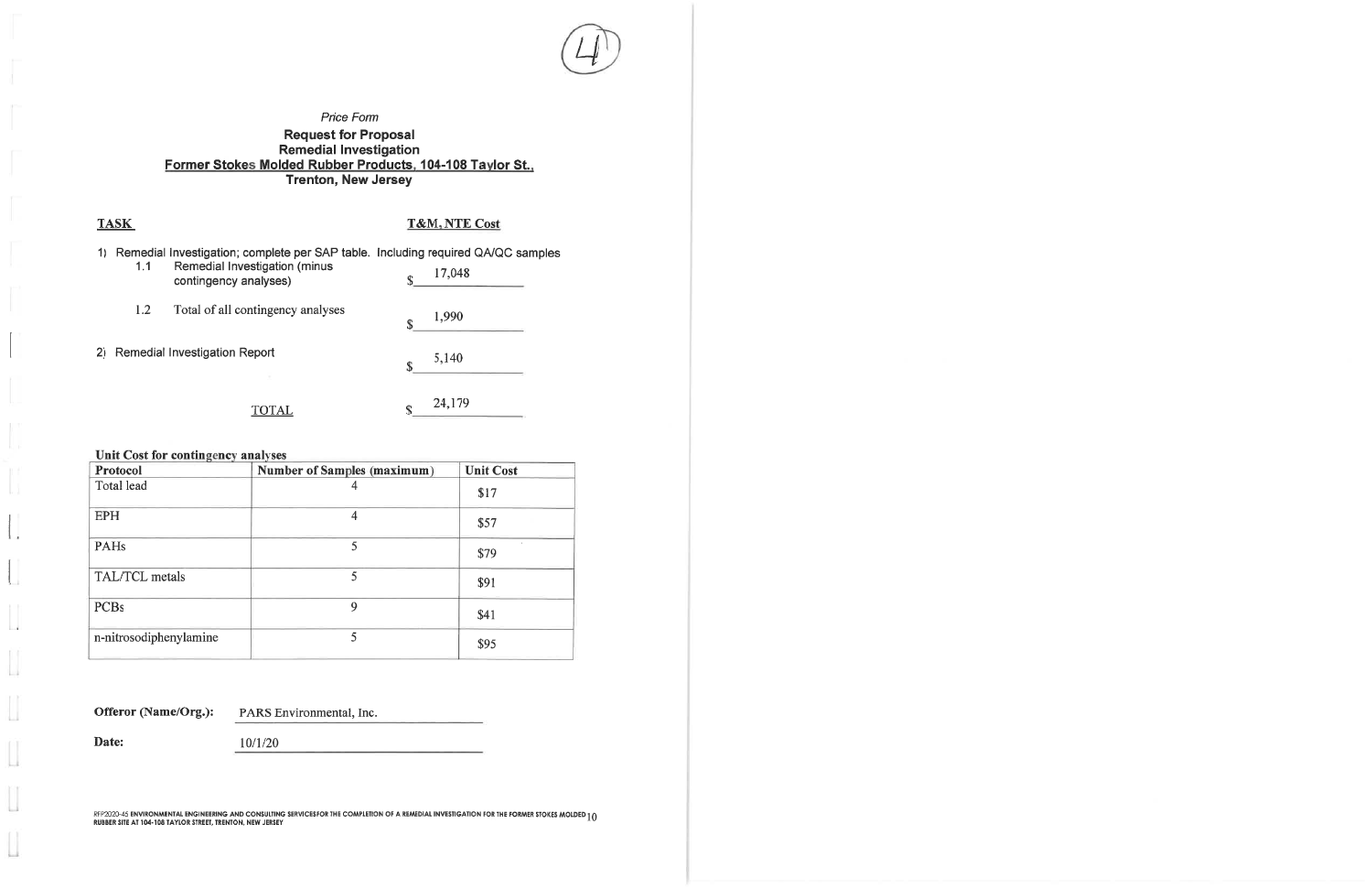

# Request for Proposal<br>Remedial Investigation<br>Former Stokes Molded Rubber Products, 104-108 Taylor St...<br>Trenton, New Jersey

#### **TASK**

#### **T&M, NTE Cost**

|  | 1) Remedial Investigation; complete per SAP table. Including required QA/QC samples                                |  |  |
|--|--------------------------------------------------------------------------------------------------------------------|--|--|
|  | and the second state of the second state of the second state of the second state of the second state of the second |  |  |

|     | Remedial Investigation (minus<br>contingency analyses) |   | 17,048 |  |
|-----|--------------------------------------------------------|---|--------|--|
| 1.2 | Total of all contingency analyses                      |   | 1,990  |  |
| 2)  | <b>Remedial Investigation Report</b>                   |   | 5,140  |  |
|     | TOTAL                                                  | œ | 24,179 |  |

#### Unit Cost for contingency analyses

| Protocol               | <b>Number of Samples (maximum)</b> | <b>Unit Cost</b> |
|------------------------|------------------------------------|------------------|
| Total lead             |                                    | \$17             |
| <b>EPH</b>             | 4                                  | \$57             |
| PAHs                   | 5                                  | \$79             |
| TAL/TCL metals         | 5                                  | \$91             |
| PCBs                   | 9                                  | \$41             |
| n-nitrosodiphenylamine | 5                                  | \$95             |

Offeror (Name/Org.): PARS Environmental, Inc.

Date:

 $\begin{bmatrix} 1 \\ 1 \end{bmatrix}$ 

 $\mathbf{L}$ 

 $\mathbb{R}^n$ 

L)

 $\begin{bmatrix} 1 \\ 1 \end{bmatrix}$ 

 $\hfill\Box$ 

 $\begin{bmatrix} 1 \\ 1 \end{bmatrix}$ 

 $\begin{bmatrix} 1 \\ 2 \end{bmatrix}$ 

 $10/1/20$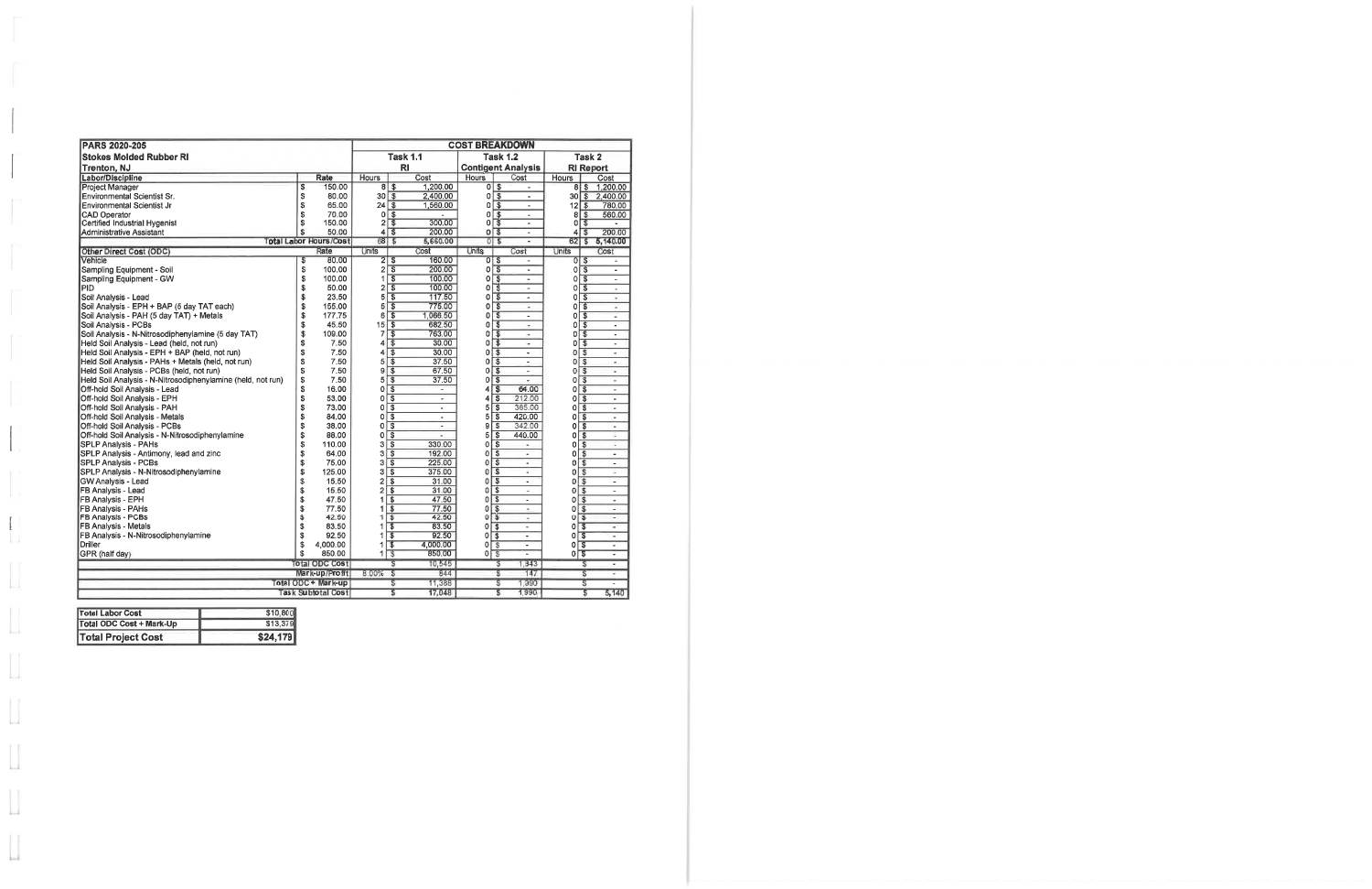| <b>PARS 2020-205</b>                                        |    |                           |                 |                           |                          | <b>COST BREAKDOWN</b> |                           |                           |                |                           |                          |  |
|-------------------------------------------------------------|----|---------------------------|-----------------|---------------------------|--------------------------|-----------------------|---------------------------|---------------------------|----------------|---------------------------|--------------------------|--|
| <b>Stokes Molded Rubber RI</b>                              |    |                           | <b>Task 1.1</b> |                           |                          |                       |                           | <b>Task 1.2</b>           |                | Task <sub>2</sub>         |                          |  |
| Trenton, NJ                                                 |    |                           |                 |                           | <b>RI</b>                |                       |                           | <b>Contigent Analysis</b> |                |                           | <b>RI Report</b>         |  |
| Labor/Discipline                                            |    | Rate                      | <b>Hours</b>    |                           | Cost                     | Hours                 |                           | Cost                      | Hours          |                           | Cost                     |  |
| <b>Project Manager</b>                                      | \$ | 150.00                    |                 | 8S                        | 1.200.00                 |                       | $0\vert s$                | $\ddot{\phantom{1}}$      |                | 8S                        | 1.200.00                 |  |
| <b>Environmental Scientist Sr.</b>                          | \$ | 80.00                     | 30              | $\overline{\mathbb{s}}$   | 2,400.00                 | o                     | $\overline{\mathbb{s}}$   | $\overline{\phantom{a}}$  | 30             | 3                         | 2.400.00                 |  |
| Environmental Scientist Jr                                  | \$ | 65.00                     | 24              | $\overline{\mathfrak{s}}$ | 1,560.00                 | 0                     | 3                         | $\overline{\phantom{a}}$  | $12\sqrt{3}$   |                           | 780.00                   |  |
| CAD Operator                                                | \$ | 70.00                     | $\overline{0}$  | $\overline{\$}$           |                          | 0                     | \$                        | $\sim$                    | 8              | $\overline{\mathfrak{s}}$ | 560.00                   |  |
| Certified Industrial Hygenist                               | \$ | 150.00                    | $\overline{a}$  | $\overline{\$}$           | 300.00                   | ٥l                    | s                         | $\sim$                    | ٥l             | 3                         |                          |  |
| Administrative Assistant                                    | \$ | 50.00                     | 4               | \$                        | 200.00                   | $\Omega$              | $\overline{\mathcal{S}}$  | ä,                        | 4              | s                         | 200.00                   |  |
|                                                             |    | Total Labor Hours/Cost    | 68 \$           |                           | 5,660.00                 | $\overline{0}$        | 3                         | ٠                         | 62S            |                           | 5,140.00                 |  |
| Other Direct Cost (ODC)                                     |    | Rate                      | Units           |                           | Cost                     | Units                 |                           | Cost                      | Units          |                           | Cost                     |  |
| Vehicle                                                     | \$ | 80.00                     |                 | 2s                        | 160.00                   | ०।                    | $\overline{\mathbf{s}}$   | $\blacksquare$            |                | ० ऽ                       | $\overline{a}$           |  |
| Sampling Equipment - Soil                                   | \$ | 100.00                    | 2               | ड                         | 200.00                   | $\Omega$              | ड                         | $\overline{\phantom{a}}$  | $\overline{O}$ | $\overline{\mathbb{s}}$   | $\overline{\phantom{a}}$ |  |
| Sampling Equipment - GW                                     | \$ | 100.00                    |                 | $\overline{\mathbb{S}}$   | 100.00                   | $\Omega$              | $\overline{s}$            | $\overline{\phantom{a}}$  | O              | 3                         | $\overline{\phantom{a}}$ |  |
| PID                                                         | \$ | 50.00                     | 2               | \$                        | 100.00                   | $\Omega$              | ŝ                         | $\overline{\phantom{a}}$  | Ō              | \$                        | ä,                       |  |
| Soil Analysis - Lead                                        | Ś  | 23.50                     | 5               | $\overline{\mathbb{s}}$   | 117.50                   | ΩI                    | $\overline{\mathsf{s}}$   | $\blacksquare$            | 0              | s                         | ÷                        |  |
| Soil Analysis - EPH + BAP (5 day TAT each)                  | \$ | 155.00                    | 5               | $\overline{\mathsf{s}}$   | 775.00                   | ٥l                    | $\overline{\mathsf{s}}$   | ٠                         | 0              | s.                        | ×.                       |  |
| Soil Analysis - PAH (5 day TAT) + Metals                    | \$ | 177.75                    | 6               | \$                        | 1,066.50                 | Ωİ                    | S                         | ٠                         | 0              | $\overline{\mathbf{s}}$   | ٠                        |  |
| Soil Analysis - PCBs                                        | \$ | 45.50                     | $15\sqrt{3}$    |                           | 682.50                   | ۵l                    | $\overline{\mathbb{s}}$   | $\overline{\phantom{a}}$  | 0              | $\overline{\mathbf{s}}$   | ٠                        |  |
| Soil Analysis - N-Nitrosodiphenylamine (5 day TAT)          | \$ | 109.00                    | 7               | T                         | 763.00                   | ۵Ι                    | $\overline{\mathbb{s}}$   | ÷                         | ٥              | s                         | $\overline{\phantom{a}}$ |  |
| Held Soil Analysis - Lead (held, not run)                   | \$ | 7.50                      | 4               | \$                        | 30.00                    | ٥I                    | T                         | ٠                         | ٥l             | $\overline{\mathbb{s}}$   | $\blacksquare$           |  |
| Held Soil Analysis - EPH + BAP (held, not run)              | \$ | 7.50                      | 4               | 3                         | 30.00                    | ٥l                    | $\overline{\mathbb{s}}$   | ٠                         | Ō              | $\overline{\mathsf{s}}$   | ٠                        |  |
| Held Soil Analysis - PAHs + Metals (held, not run)          | \$ | 7.50                      | 5               | $\overline{\mathfrak{s}}$ | 37.50                    | ٥Γ                    | $\overline{\mathfrak{s}}$ | $\overline{\phantom{a}}$  | o              | \$                        | $\blacksquare$           |  |
| Held Soil Analysis - PCBs (held, not run)                   | \$ | 7.50                      | 9               | $\overline{\$}$           | 67.50                    | ٥Ι                    | $\overline{\mathfrak{s}}$ | $\blacksquare$            | Ō              | \$                        | ٠                        |  |
| Held Soil Analysis - N-Nitrosodiphenylamine (held, not run) | \$ | 7.50                      | 5 <sup>1</sup>  | 3                         | 37.50                    | oΓ                    | $\overline{\$}$           | ÷.                        | ٥              | $\overline{\mathbb{s}}$   | ٠                        |  |
| Off-hold Soil Analysis - Lead                               | \$ | 16.00                     | 0               | \$                        | $\overline{\phantom{a}}$ | 4                     | T                         | 64.00                     | ٥              | \$                        | ٠                        |  |
| Off-hold Soil Analysis - EPH                                | \$ | 53.00                     | 0               | ङ                         | Ξ                        | 41                    | $\overline{\mathbb{S}}$   | 212.00                    | $\overline{0}$ | $\overline{\mathbf{s}}$   | $\overline{\phantom{a}}$ |  |
| Off-hold Soil Analysis - PAH                                | \$ | 73.00                     | $\mathbf 0$     | 3                         | $\blacksquare$           | 5                     | $\overline{\mathbb{s}}$   | 365.00                    | 0              | $\overline{\mathbf{s}}$   | ٠                        |  |
| Off-hold Soil Analysis - Metals                             | \$ | 84.00                     | 0               | T                         | ٠                        | 5                     | $\overline{\mathbb{s}}$   | 420.00                    | 0              | $\overline{\mathbf{s}}$   | ٠                        |  |
| Off-hold Soil Analysis - PCBs                               | \$ | 38.00                     | $\Omega$        | $\overline{\mathsf{s}}$   | $\tilde{\phantom{a}}$    | 9                     | $\overline{\mathsf{s}}$   | 342.00                    | 0              | $\overline{\mathbf{s}}$   | ٠                        |  |
| Off-hold Soil Analysis - N-Nitrosodiphenylamine             | Ŝ  | 88,00                     | 0               | ड                         | ä,                       | 5                     | $\overline{\mathsf{s}}$   | 440.00                    | ٥l             | $\overline{\mathbf{s}}$   | s                        |  |
| SPLP Analysis - PAHs                                        | \$ | 110.00                    | 3               | Ŧ,                        | 330.00                   | ٥۱                    | $\overline{\mathbf{s}}$   | $\overline{\phantom{a}}$  | 0              | $\overline{\mathsf{s}}$   | ٠                        |  |
| SPLP Analysis - Antimony, lead and zinc                     | \$ | 64.00                     | 3               | \$                        | 192.00                   | ٥l                    | $\overline{\mathbb{s}}$   | ÷.                        | ۵Ι             | $\overline{\mathbb{s}}$   | ×.                       |  |
| SPLP Analysis - PCBs                                        | \$ | 75.00                     | зI              | \$                        | 225.00                   | ٥l                    | s                         | $\overline{a}$            | ٥l             | $\overline{\mathbf{s}}$   |                          |  |
| SPLP Analysis - N-Nitrosodiphenylamine                      | \$ | 125.00                    | 3               | \$                        | 375.00                   | 0                     | 3                         | ٠                         | ٥l             | $\overline{s}$            | ÷,                       |  |
| GW Analysis - Lead                                          | \$ | 15.50                     | $\overline{2}$  | $\overline{\$}$           | 31.00                    | ٥I                    | T                         | $\blacksquare$            | ٥l             | $\overline{\mathbf{s}}$   |                          |  |
| IFB Analysis - Lead                                         | \$ | 15.50                     | 2               | \$                        | 31.00                    | ٥l                    | $\overline{\mathfrak{s}}$ | Ξ                         | ٥l             | $\overline{\mathfrak{s}}$ | $\overline{\phantom{0}}$ |  |
| FB Analysis - EPH                                           | \$ | 47.50                     | 1               | 3                         | 47.50                    | ٥ſ                    | $\overline{\mathfrak{s}}$ | ٠                         | οľ             | $\overline{\mathbb{s}}$   | ٠                        |  |
| <b>FB Analysis - PAHs</b>                                   | \$ | 77.50                     | 1               | \$                        | 77.50                    | ٥                     | $\overline{\mathbb{s}}$   | $\overline{\phantom{a}}$  | o١             | $\overline{\mathbb{s}}$   | $\overline{\phantom{a}}$ |  |
| <b>FB Analysis - PCBs</b>                                   | \$ | 42.50                     | 1               | $\overline{\mathfrak{s}}$ | 42.50                    | ٥I                    | $\overline{\$}$           | Ψ                         | oΓ             | $\overline{\mathfrak{s}}$ | $\overline{a}$           |  |
| FB Analysis - Metals                                        | \$ | 83.50                     | 1               | \$                        | 83.50                    | ٥l                    | $\overline{\mathbf{3}}$   | $\overline{\phantom{a}}$  | ٥l             | $\overline{\mathfrak{s}}$ | ٠                        |  |
| FB Analysis - N-Nitrosodiphenylamine                        | \$ | 92.50                     | 1               | $\overline{\$}$           | 92.50                    | ٥ľ                    | $\overline{\mathbf{s}}$   | ä,                        | $0\sqrt{3}$    |                           | ÷                        |  |
| Driller                                                     | \$ | 4,000,00                  | 1               | \$                        | 4,000.00                 | ٥l                    | \$                        | ٠                         | 0 I S          |                           | ÷,                       |  |
| GPR (half day)                                              | \$ | 850.00                    | 1               | ⊺इ                        | 850.00                   | $0\sqrt{3}$           |                           | $\blacksquare$            | ० ड            |                           | ٠                        |  |
|                                                             |    | <b>Total ODC Cost</b>     |                 | ङ                         | 10,545                   |                       | 3                         | 1.843                     |                | s                         | ٠                        |  |
|                                                             |    | Mark-up/Profit)           | 8.00%           | - 2                       | 844                      |                       | \$                        | 147                       |                | 3                         | ä,                       |  |
|                                                             |    | Total ODC + Mark-up       |                 | \$                        | 11,388                   |                       | 3                         | 1,990                     |                | \$                        | $\overline{\phantom{a}}$ |  |
|                                                             |    | <b>Task Subtotal Cost</b> |                 | 5                         | 17,048                   |                       | 3                         | 1,990                     |                | 5                         | 5,140                    |  |
|                                                             |    |                           |                 |                           |                          |                       |                           |                           |                |                           |                          |  |

| <b>Total Labor Cost</b>         | \$10,800 |
|---------------------------------|----------|
| <b>Total ODC Cost + Mark-Up</b> | \$13,379 |
| <b>Total Project Cost</b>       | \$24,179 |

Ţ,

 $\overline{\mathbb{L}}$ 

 $\prod_{i=1}^n$ 

 $\overline{\mathcal{L}}$ 

 $\hfill\Box$ 

 $\overline{\phantom{a}}$ 

 $\hfill\Box$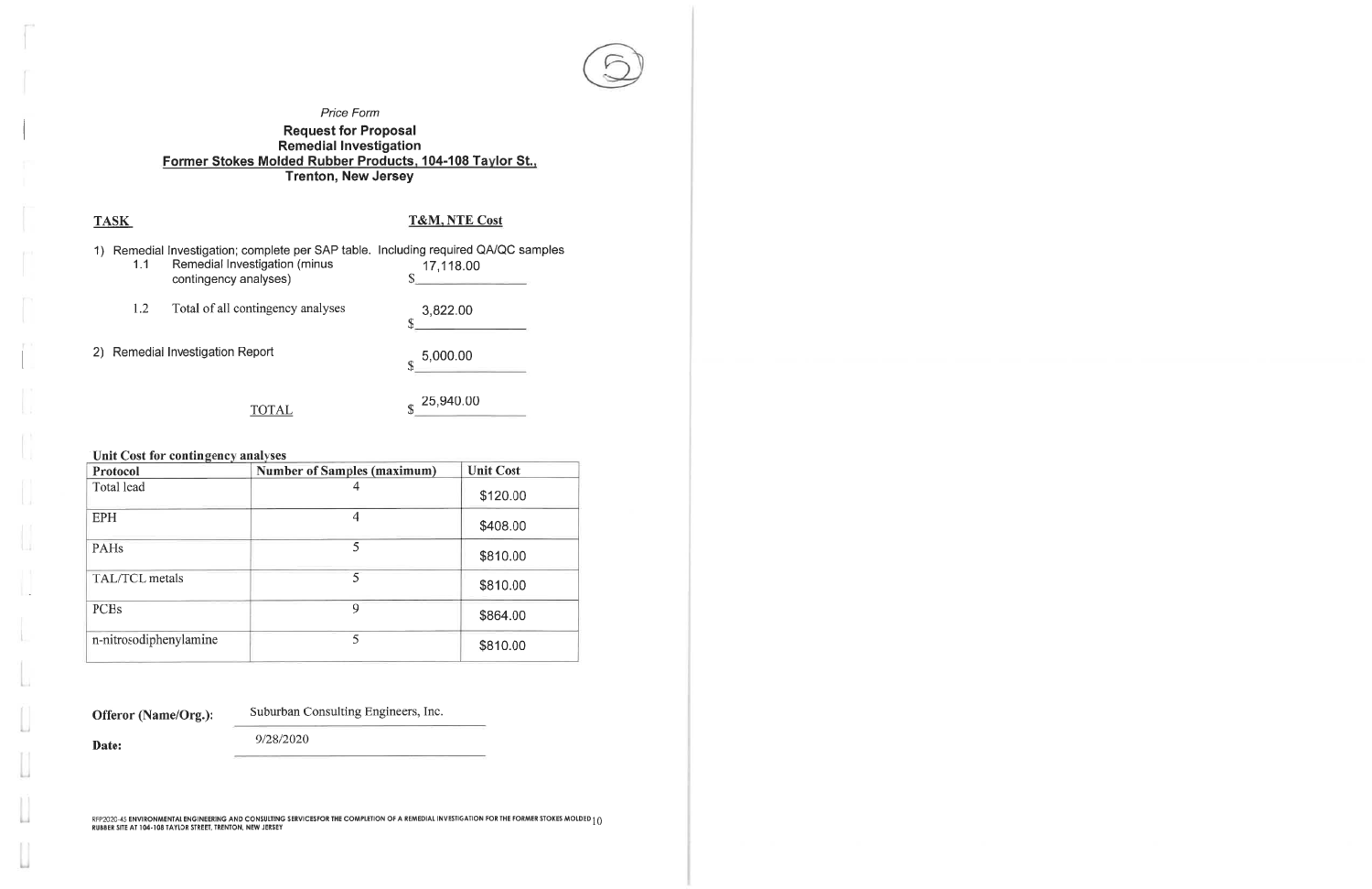#### **Request for Proposal Remedial Investigation** Former Stokes Molded Rubber Products, 104-108 Taylor St., **Trenton, New Jersey**

#### **TASK**

 $1.2$ 

#### T&M, NTE Cost

1) Remedial Investigation; complete per SAP table. Including required QA/QC samples  $\frac{1}{17,118.00}$ Remedial Investigation (minus  $1.1$ 

contingency analyses)

Total of all contingency analyses

 $\int_{\mathbb{S}_-} 3,822.00$ 

 $\frac{5,000.00}{\frac{5}{2}}$ 

2) Remedial Investigation Report

**TOTAL** 

 $\int$ \$ 25,940.00

Unit Cost for contingency analyses

| Protocol               | <b>Number of Samples (maximum)</b> | <b>Unit Cost</b> |
|------------------------|------------------------------------|------------------|
| Total lead             |                                    | \$120.00         |
| <b>EPH</b>             | 4                                  | \$408.00         |
| PAHs                   | 5                                  | \$810.00         |
| TAL/TCL metals         | 5                                  | \$810.00         |
| <b>PCBs</b>            | 9                                  | \$864.00         |
| n-nitrosodiphenylamine | 5                                  | \$810.00         |

Offeror (Name/Org.):

Suburban Consulting Engineers, Inc.

9/28/2020

Date:

run.

 $\mathbf{L}$ 

W.

w

**Li** 

RFP2020-45 ENVIRONMENTAL ENGINEERING AND CONSULTING SERVICESFOR THE COMPLETION OF A REMEDIAL INVESTIGATION FOR THE FORMER STOKES MOLDED  $\rm 10$ <br>RUBBER SITE AT 104-108 TAYLOR STREET, TRENTON, NEW JERSEY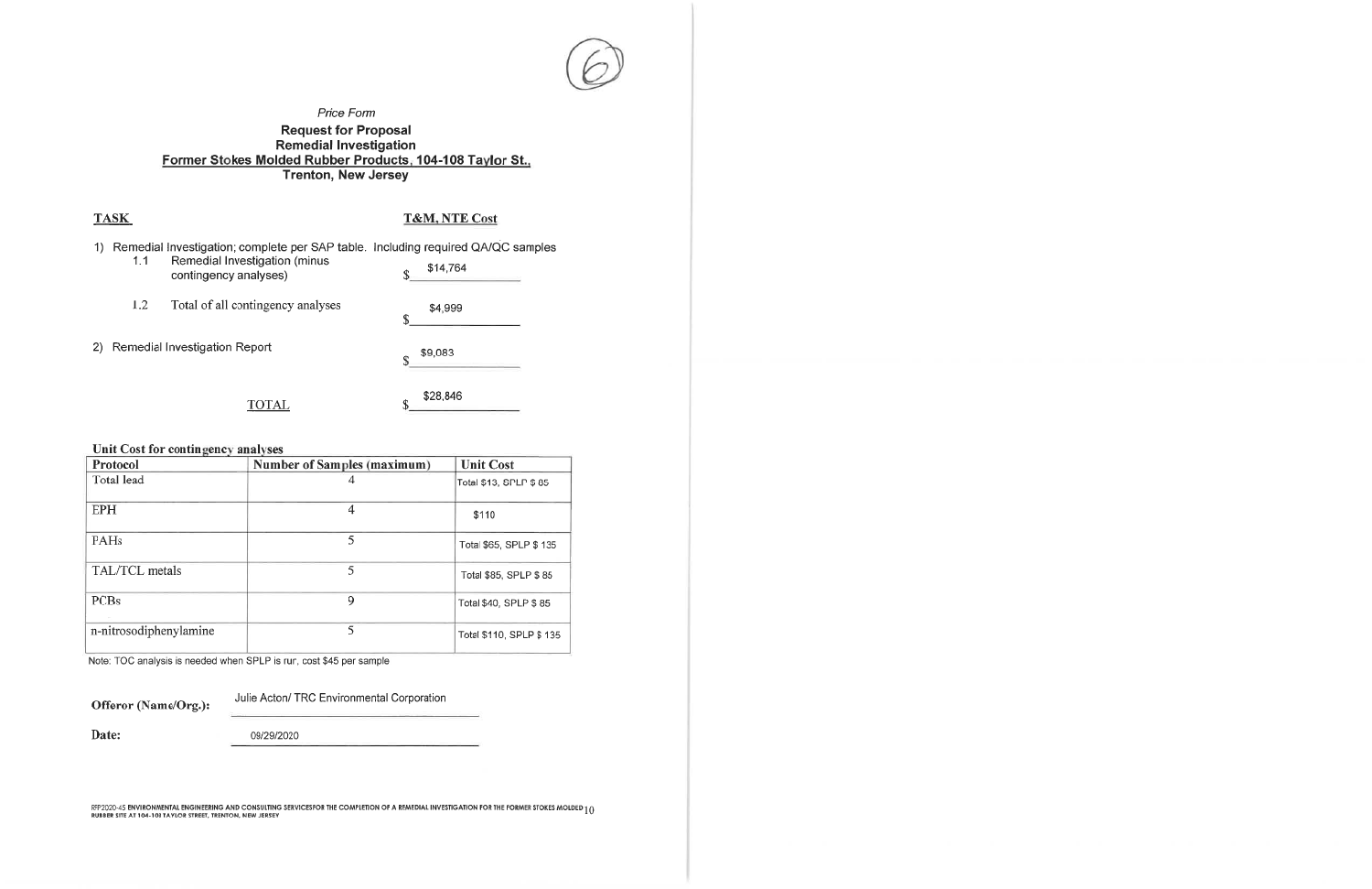

#### **Request for Proposal** Remedial Investigation Former Stokes Molded Rubber Products, 104-108 Taylor St., **Trenton, New Jersey**

#### **TASK**

#### **T&M, NTE Cost**

1) Remedial Investigation; complete per SAP table. Including required QA/QC samples

- 1.1 Remedial Investigation (minus contingency analyses)
- \$14,764  $\mathbf{\hat{X}}$

\$4,999

- Total of all contingency analyses  $1.2$
- $\mathbf{\hat{A}}$

 $\mathbb{S}$ 

\$9,083  $S$ 

**TOTAL** 

\$28,846

#### Unit Cost for contingency analyses

2) Remedial Investigation Report

| Protocol               | <b>Number of Samples (maximum)</b> | <b>Unit Cost</b>        |
|------------------------|------------------------------------|-------------------------|
| Total lead             |                                    | Total \$13, SPLP \$85   |
| EPH                    | 4                                  | \$110                   |
| <b>PAHs</b>            | $\overline{\mathcal{L}}$           | Total \$65, SPLP \$ 135 |
| TAL/TCL metals         | 5                                  | Total \$85, SPLP \$85   |
| <b>PCBs</b>            | 9                                  | Total \$40, SPLP \$85   |
| n-nitrosodiphenylamine | 5                                  | Total \$110, SPLP \$135 |

Note: TOC analysis is needed when SPLP is run, cost \$45 per sample

Julie Acton/ TRC Environmental Corporation Offeror (Name/Org.):

Date:

09/29/2020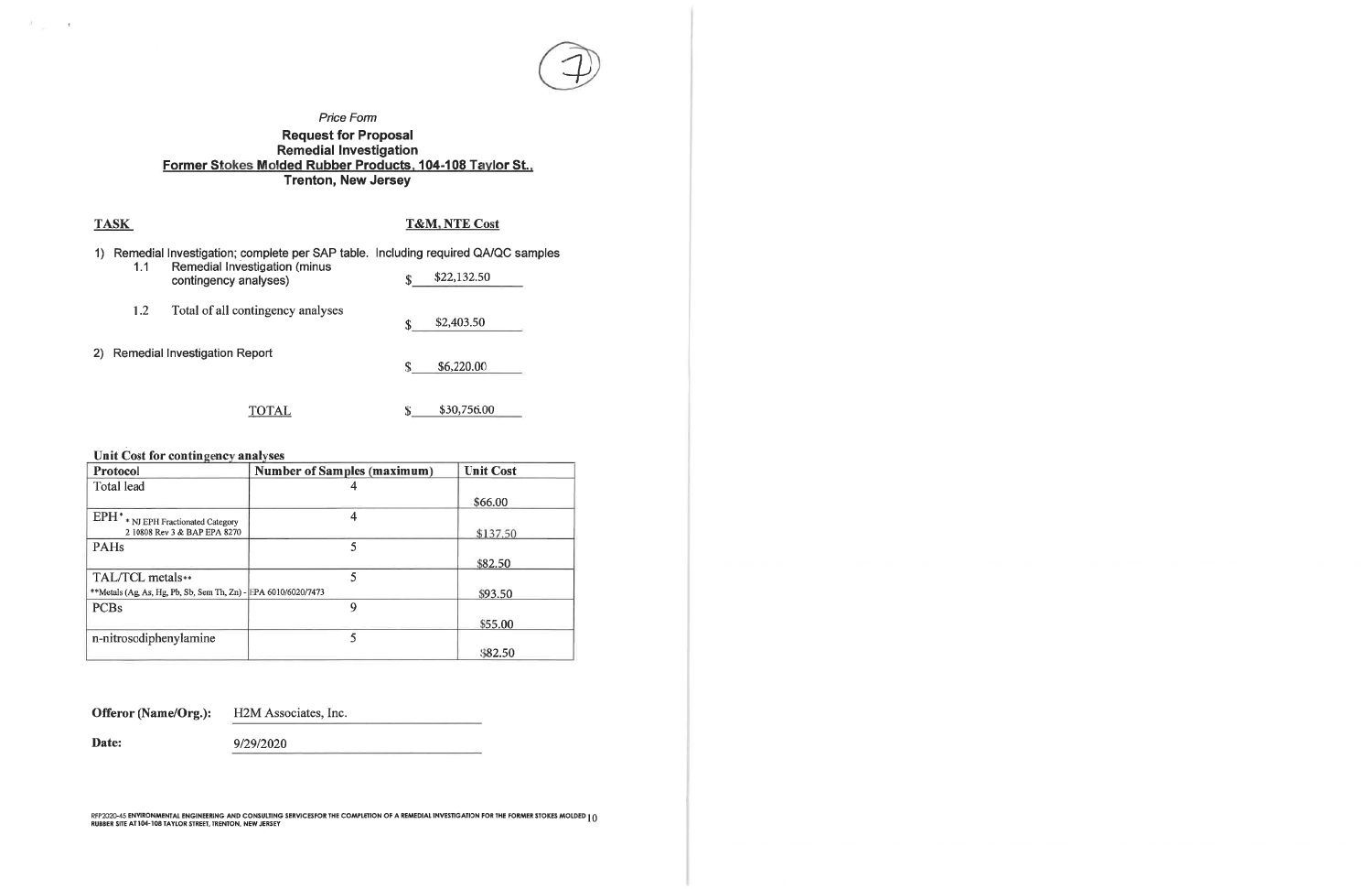

#### **Request for Proposal** Remedial Investigation Former Stokes Molded Rubber Products, 104-108 Taylor St., **Trenton, New Jersey**

#### **TASK T&M, NTE Cost** 1) Remedial Investigation; complete per SAP table. Including required QA/QC samples<br>1.1 Remedial Investigation (minus \$22,132.50 contingency analyses)  $\mathbf{\hat{S}}$  $1.2$ Total of all contingency analyses \$2,403.50  $\mathbf{s}$ 2) Remedial Investigation Report \$6,220.00  $\mathbf{s}$ \$30,756.00 **TOTAL**  $\mathbf S$

#### Unit Cost for contingency analyses

| Protocol                                                       | <b>Number of Samples (maximum)</b> | <b>Unit Cost</b> |
|----------------------------------------------------------------|------------------------------------|------------------|
| Total lead                                                     |                                    |                  |
|                                                                |                                    | \$66.00          |
| EPH <sup>*</sup><br>* NJ EPH Fractionated Category             | 4                                  |                  |
| 2 10808 Rev 3 & BAP EPA 8270                                   |                                    | \$137.50         |
| <b>PAHs</b>                                                    | 5                                  |                  |
|                                                                |                                    | \$82.50          |
| TAL/TCL metals**                                               | 5                                  |                  |
| **Metals (Ag, As, Hg, Pb, Sb, Sem Th, Zn) - EPA 6010/6020/7473 |                                    | \$93.50          |
| <b>PCBs</b>                                                    | 9                                  |                  |
|                                                                |                                    | \$55.00          |
| n-nitrosodiphenylamine                                         |                                    |                  |
|                                                                |                                    | \$82.50          |

Offeror (Name/Org.): H2M Associates, Inc.

Date:

 $\mathcal{M}_{\mathcal{A}}$ 

 $\mathbf{r}$ 

9/29/2020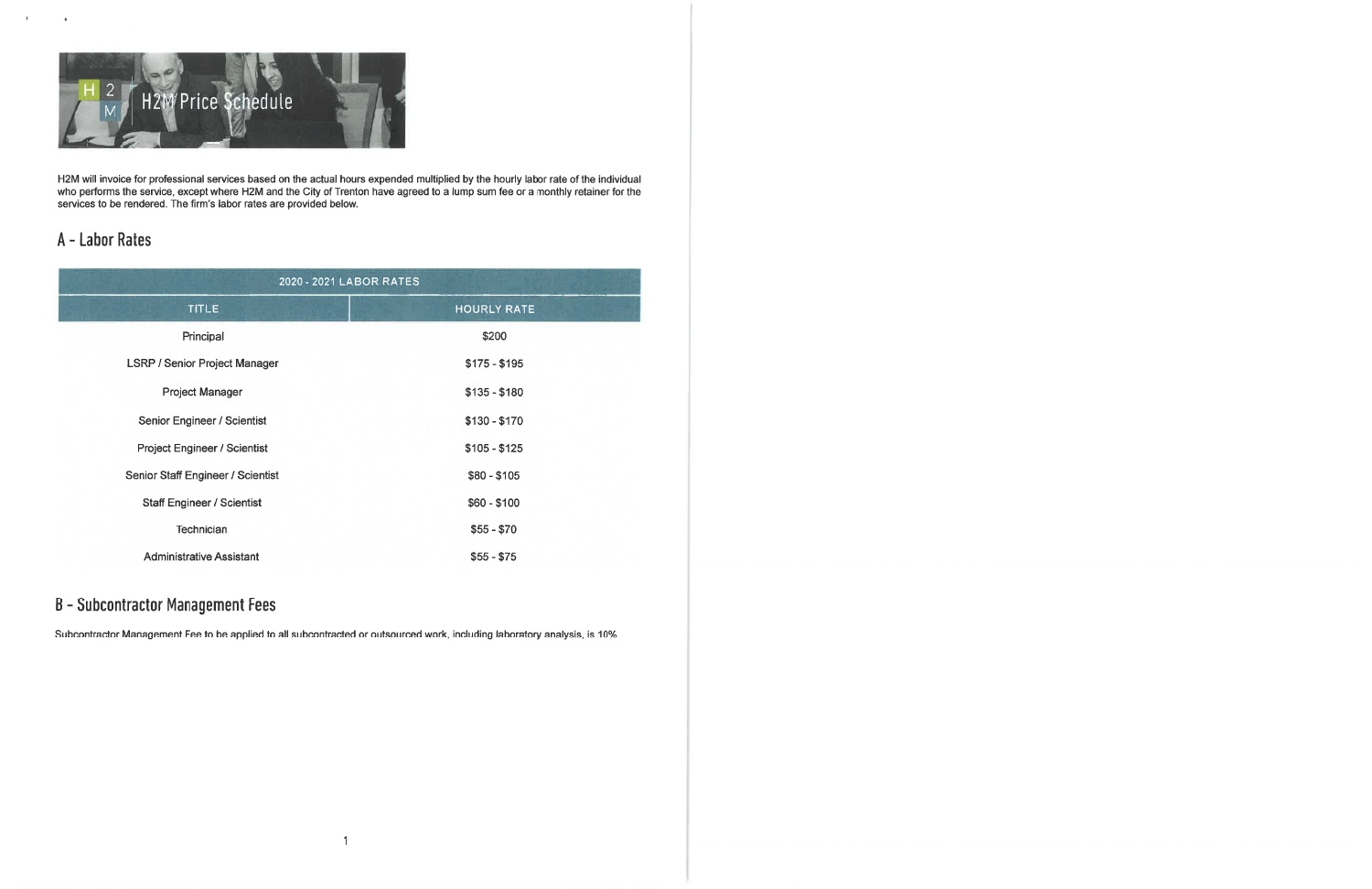

H2M will invoice for professional services based on the actual hours expended multiplied by the hourly labor rate of the individual who performs the service, except where H2M and the City of Trenton have agreed to a lump sum fee or a monthly retainer for the services to be rendered. The firm's labor rates are provided below.

### A - Labor Rates

 $\epsilon$ 

 $\mathbf{a}$ 

| 2020 - 2021 LABOR RATES              |                    |  |  |  |  |
|--------------------------------------|--------------------|--|--|--|--|
| <b>TITLE</b>                         | <b>HOURLY RATE</b> |  |  |  |  |
| Principal                            | \$200              |  |  |  |  |
| <b>LSRP / Senior Project Manager</b> | $$175 - $195$      |  |  |  |  |
| Project Manager                      | $$135 - $180$      |  |  |  |  |
| Senior Engineer / Scientist          | $$130 - $170$      |  |  |  |  |
| Project Engineer / Scientist         | $$105 - $125$      |  |  |  |  |
| Senior Staff Engineer / Scientist    | $$80 - $105$       |  |  |  |  |
| <b>Staff Engineer / Scientist</b>    | $$60 - $100$       |  |  |  |  |
| Technician                           | $$55 - $70$        |  |  |  |  |
| <b>Administrative Assistant</b>      | $$55 - $75$        |  |  |  |  |

# **B** - Subcontractor Management Fees

Subcontractor Management Fee to be applied to all subcontracted or outsourced work, including laboratory analysis, is 10%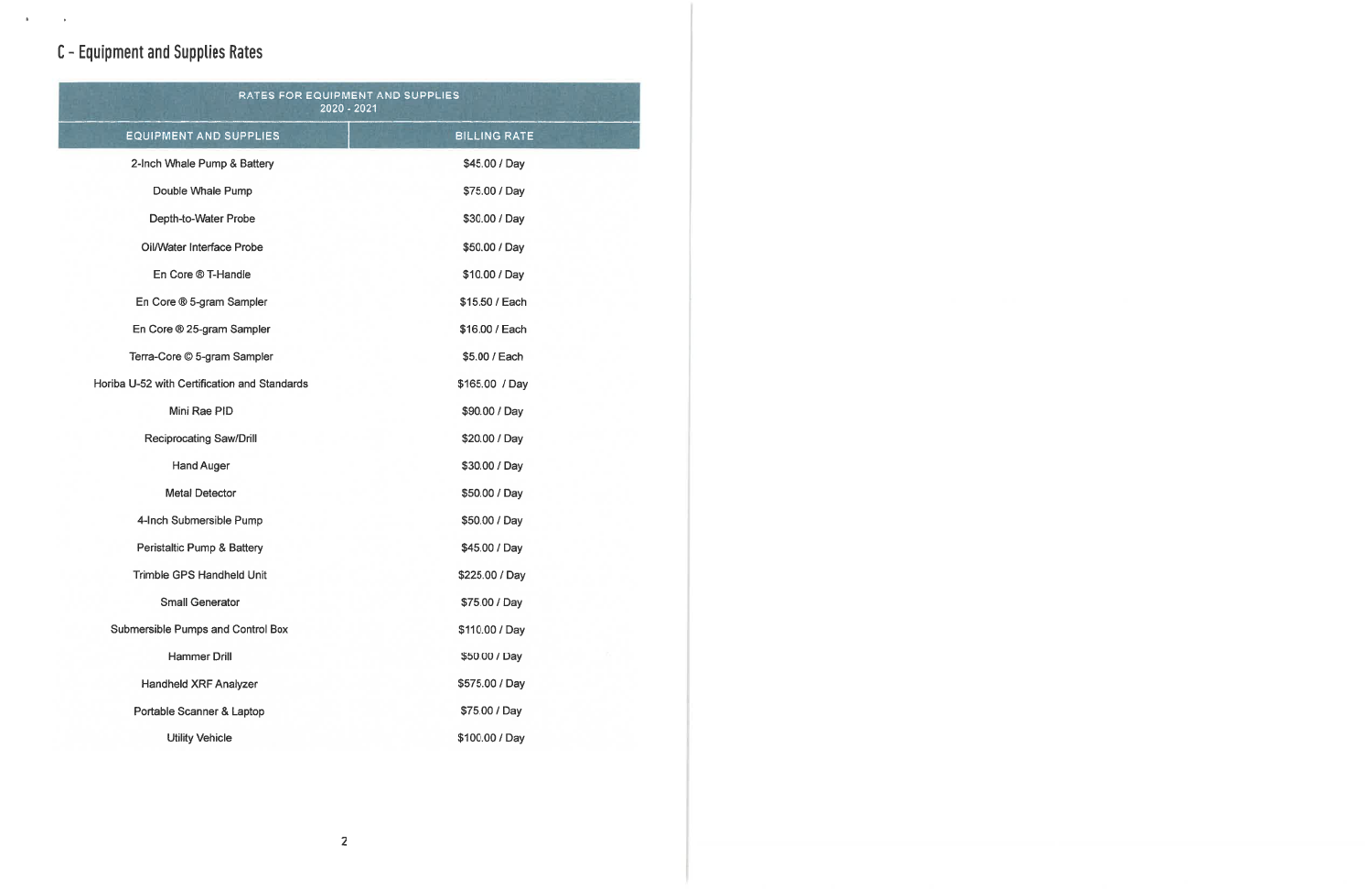# C - Equipment and Supplies Rates

 $\mathbf{h}$  .

 $\sim$ 

| RATES FOR EQUIPMENT AND SUPPLIES<br>2020 - 2021 |                     |  |  |  |  |
|-------------------------------------------------|---------------------|--|--|--|--|
| <b>EQUIPMENT AND SUPPLIES</b>                   | <b>BILLING RATE</b> |  |  |  |  |
| 2-Inch Whale Pump & Battery                     | \$45.00 / Day       |  |  |  |  |
| Double Whale Pump                               | \$75.00 / Day       |  |  |  |  |
| Depth-to-Water Probe                            | \$30.00 / Day       |  |  |  |  |
| Oil/Water Interface Probe                       | \$50.00 / Day       |  |  |  |  |
| En Core ® T-Handle                              | \$10.00 / Day       |  |  |  |  |
| En Core ® 5-gram Sampler                        | \$15.50 / Each      |  |  |  |  |
| En Core ® 25-gram Sampler                       | \$16.00 / Each      |  |  |  |  |
| Terra-Core © 5-gram Sampler                     | \$5.00 / Each       |  |  |  |  |
| Horiba U-52 with Certification and Standards    | \$165.00 / Day      |  |  |  |  |
| Mini Rae PID                                    | \$90.00 / Day       |  |  |  |  |
| <b>Reciprocating Saw/Drill</b>                  | \$20.00 / Day       |  |  |  |  |
| <b>Hand Auger</b>                               | \$30.00 / Day       |  |  |  |  |
| <b>Metal Detector</b>                           | \$50.00 / Day       |  |  |  |  |
| 4-Inch Submersible Pump                         | \$50.00 / Day       |  |  |  |  |
| Peristaltic Pump & Battery                      | \$45.00 / Day       |  |  |  |  |
| <b>Trimble GPS Handheld Unit</b>                | \$225.00 / Day      |  |  |  |  |
| <b>Small Generator</b>                          | \$75.00 / Day       |  |  |  |  |
| Submersible Pumps and Control Box               | \$110.00 / Day      |  |  |  |  |
| Hammer Drill                                    | \$50.00 / Day       |  |  |  |  |
| <b>Handheld XRF Analyzer</b>                    | \$575.00 / Day      |  |  |  |  |
| Portable Scanner & Laptop                       | \$75.00 / Day       |  |  |  |  |
| <b>Utility Vehicle</b>                          | \$100.00 / Day      |  |  |  |  |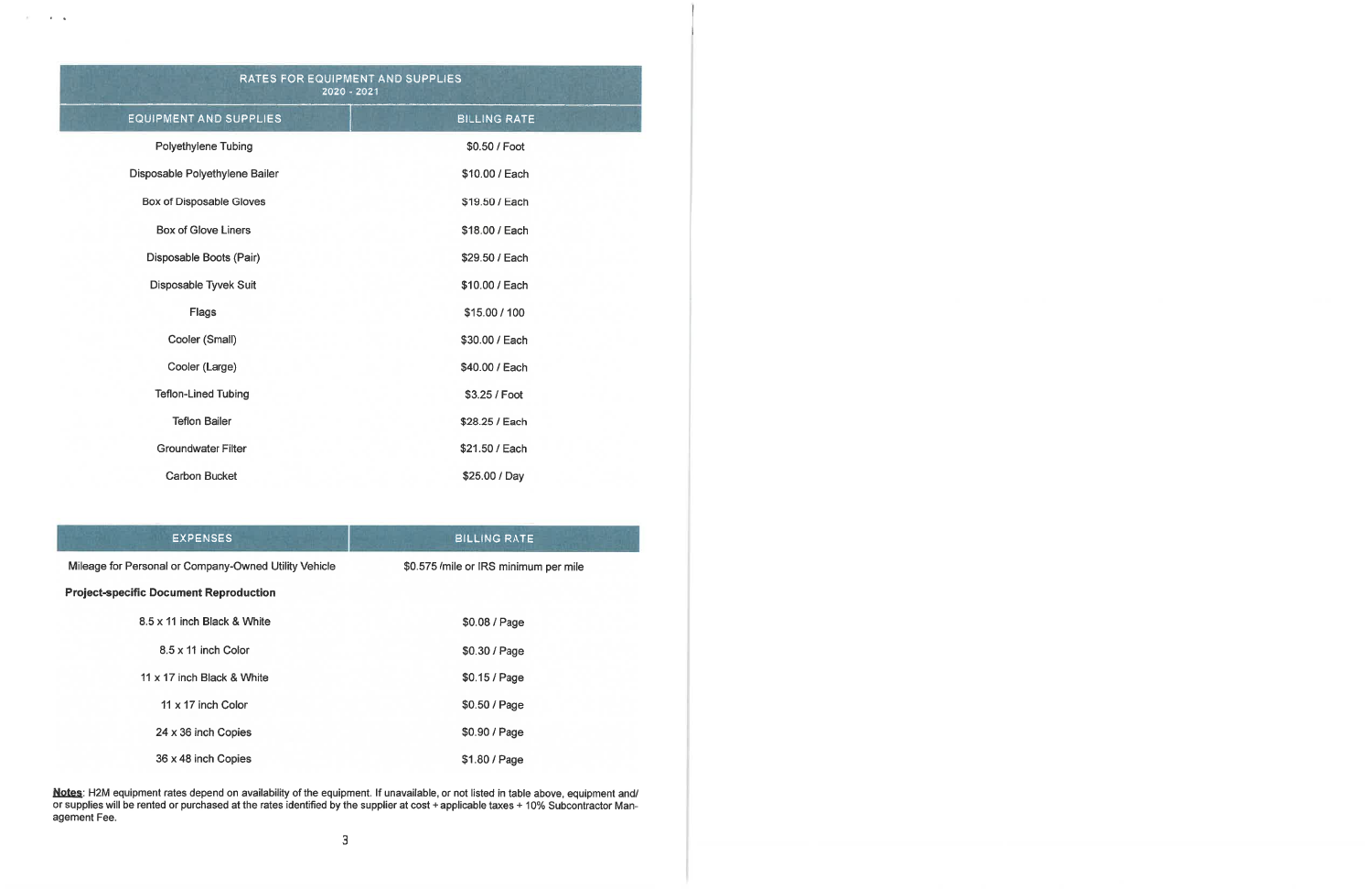| RATES FOR EQUIPMENT AND SUPPLIES<br>2020 - 2021 |                     |  |  |  |  |
|-------------------------------------------------|---------------------|--|--|--|--|
| <b>EQUIPMENT AND SUPPLIES</b>                   | <b>BILLING RATE</b> |  |  |  |  |
| <b>Polyethylene Tubing</b>                      | \$0.50 / Foot       |  |  |  |  |
| Disposable Polyethylene Bailer                  | \$10.00 / Each      |  |  |  |  |
| Box of Disposable Gloves                        | \$19.50 / Each      |  |  |  |  |
| <b>Box of Glove Liners</b>                      | \$18.00 / Each      |  |  |  |  |
| Disposable Boots (Pair)                         | \$29.50 / Each      |  |  |  |  |
| Disposable Tyvek Suit                           | \$10.00 / Each      |  |  |  |  |
| <b>Flags</b>                                    | \$15.00 / 100       |  |  |  |  |
| Cooler (Small)                                  | \$30.00 / Each      |  |  |  |  |
| Cooler (Large)                                  | \$40.00 / Each      |  |  |  |  |
| <b>Teflon-Lined Tubing</b>                      | \$3.25 / Foot       |  |  |  |  |
| <b>Teflon Bailer</b>                            | \$28.25 / Each      |  |  |  |  |
| <b>Groundwater Filter</b>                       | \$21.50 / Each      |  |  |  |  |
| <b>Carbon Bucket</b>                            | \$25.00 / Day       |  |  |  |  |

 $\mathcal{H}^{\prime}$  ,  $\mathcal{H}^{\prime}$  ,  $\mathcal{H}^{\prime}$ 

| <b>EXPENSES</b>                                       | <b>BILLING RATE</b>                   |
|-------------------------------------------------------|---------------------------------------|
| Mileage for Personal or Company-Owned Utility Vehicle | \$0.575 /mile or IRS minimum per mile |
| <b>Project-specific Document Reproduction</b>         |                                       |
| 8.5 x 11 inch Black & White                           | \$0.08 / Page                         |
| 8.5 x 11 inch Color                                   | \$0.30 / Page                         |
| 11 x 17 inch Black & White                            | \$0.15 / Page                         |
| 11 x 17 inch Color                                    | \$0.50 / Page                         |
| 24 x 36 inch Copies                                   | \$0.90 / Page                         |
| 36 x 48 inch Copies                                   | \$1.80 / Page                         |

Notes: H2M equipment rates depend on availability of the equipment. If unavailable, or not listed in table above, equipment and/<br>or supplies will be rented or purchased at the rates identified by the supplier at cost + app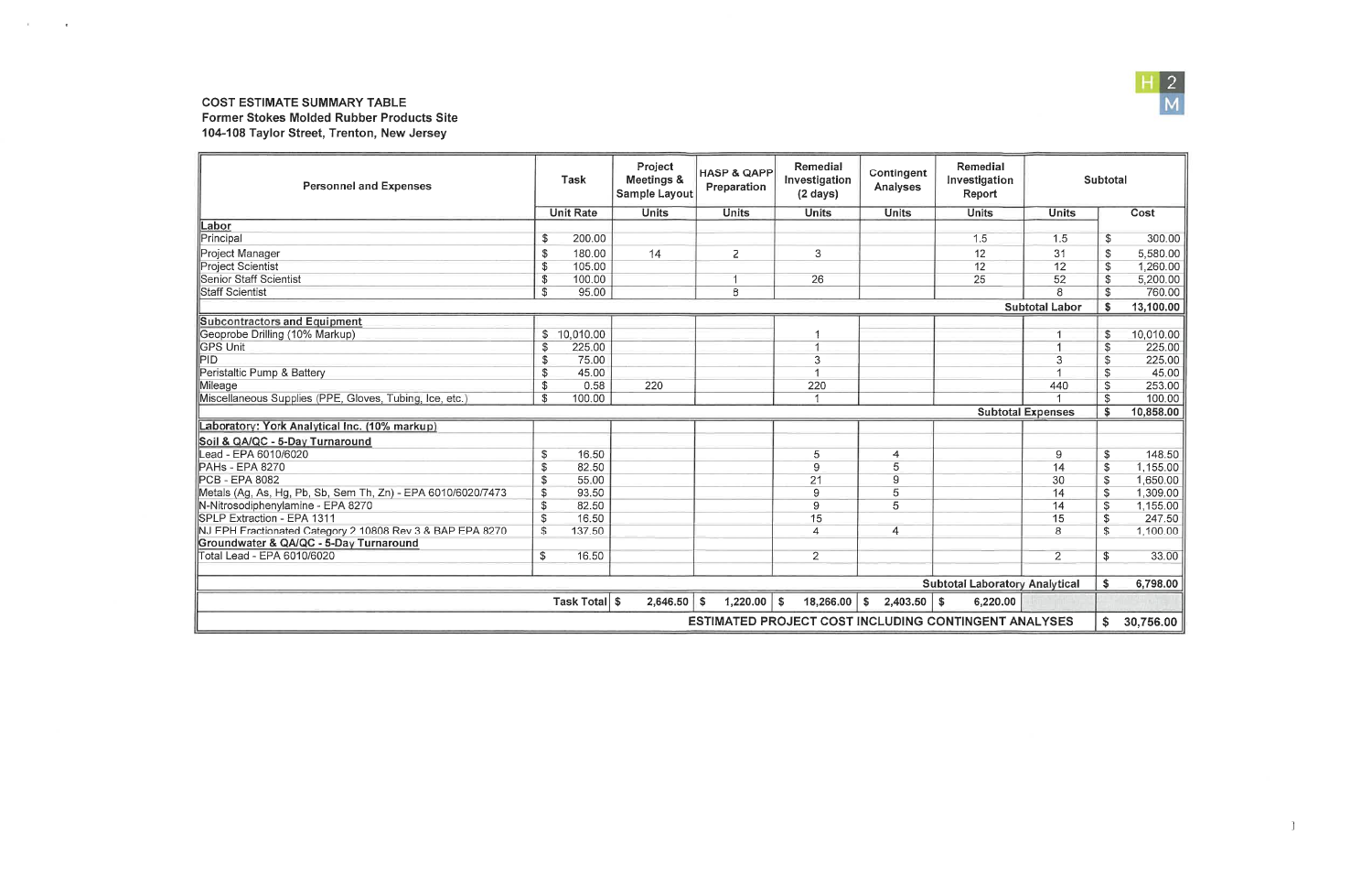#### **COST ESTIMATE SUMMARY TABLE** Former Stokes Molded Rubber Products Site 104-108 Taylor Street, Trenton, New Jersey

 $\sim 100$  km s  $^{-1}$ 

 $\mathcal{A}^{\pm}$ 

| <b>Personnel and Expenses</b>                                |                            | Task             | Project<br>Meetings &<br>Sample Layout | <b>HASP &amp; QAPP</b><br>Preparation | <b>Remedial</b><br>Investigation<br>$(2 \text{ days})$ | Contingent<br>Analyses | <b>Remedial</b><br>Investigation<br>Report |                          | Subtotal                 |           |
|--------------------------------------------------------------|----------------------------|------------------|----------------------------------------|---------------------------------------|--------------------------------------------------------|------------------------|--------------------------------------------|--------------------------|--------------------------|-----------|
|                                                              |                            | <b>Unit Rate</b> | <b>Units</b>                           | <b>Units</b>                          | <b>Units</b>                                           | <b>Units</b>           | <b>Units</b>                               | <b>Units</b>             |                          | Cost      |
| Labor                                                        |                            |                  |                                        |                                       |                                                        |                        |                                            |                          |                          |           |
| Principal                                                    | \$                         | 200.00           |                                        |                                       |                                                        |                        | 1.5                                        | 1.5                      | \$                       | 300.00    |
| Project Manager                                              | $\boldsymbol{\mathcal{F}}$ | 180.00           | 14                                     | $\overline{2}$                        | 3                                                      |                        | 12                                         | 31                       | $\mathbb{S}$             | 5,580.00  |
| <b>Project Scientist</b>                                     | $\sqrt{3}$                 | 105.00           |                                        |                                       |                                                        |                        | 12                                         | 12                       | $\mathbb{S}$             | 1,260.00  |
| Senior Staff Scientist                                       | $\boldsymbol{\mathcal{S}}$ | 100.00           |                                        |                                       | 26                                                     |                        | 25                                         | 52                       | $\sqrt{3}$               | 5,200.00  |
| Staff Scientist                                              | $\overline{\mathcal{F}}$   | 95.00            |                                        | $\overline{8}$                        |                                                        |                        |                                            | 8                        | $\overline{\mathcal{E}}$ | 760.00    |
|                                                              |                            |                  |                                        |                                       |                                                        |                        |                                            | <b>Subtotal Labor</b>    | $\sqrt[6]{3}$            | 13,100.00 |
| <b>Subcontractors and Equipment</b>                          |                            |                  |                                        |                                       |                                                        |                        |                                            |                          |                          |           |
| Geoprobe Drilling (10% Markup)                               | \$                         | 10,010.00        |                                        |                                       |                                                        |                        |                                            |                          |                          | 10,010.00 |
| <b>GPS Unit</b>                                              | \$                         | 225.00           |                                        |                                       | $\overline{A}$                                         |                        |                                            |                          | \$                       | 225.00    |
| <b>PID</b>                                                   | \$                         | 75.00            |                                        |                                       | $\overline{3}$                                         |                        |                                            | 3                        | \$                       | 225.00    |
| Peristaltic Pump & Battery                                   | \$                         | 45.00            |                                        |                                       |                                                        |                        |                                            |                          |                          | 45.00     |
| Mileage                                                      | $\boldsymbol{\theta}$      | 0.58             | 220                                    |                                       | 220                                                    |                        |                                            | 440                      |                          | 253.00    |
| Miscellaneous Supplies (PPE, Gloves, Tubing, Ice, etc.)      | $\overline{\mathcal{F}}$   | 100.00           |                                        |                                       | -4                                                     |                        |                                            |                          | \$                       | 100.00    |
|                                                              |                            |                  |                                        |                                       |                                                        |                        |                                            | <b>Subtotal Expenses</b> |                          | 10,858.00 |
| Laboratory: York Analytical Inc. (10% markup)                |                            |                  |                                        |                                       |                                                        |                        |                                            |                          |                          |           |
| Soil & QA/QC - 5-Day Turnaround                              |                            |                  |                                        |                                       |                                                        |                        |                                            |                          |                          |           |
| Lead - EPA 6010/6020                                         | \$                         | 16.50            |                                        |                                       | 5                                                      | 4                      |                                            | 9                        | \$                       | 148.50    |
| PAHs - EPA 8270                                              | $\overline{\mathcal{S}}$   | 82.50            |                                        |                                       | 9                                                      | 5                      |                                            | 14                       | $\overline{\mathcal{S}}$ | 1,155.00  |
| PCB - EPA 8082                                               | $\overline{\mathcal{S}}$   | 55.00            |                                        |                                       | $\overline{21}$                                        | $\overline{9}$         |                                            | 30                       | $\overline{\mathcal{S}}$ | 1,650.00  |
| Metals (Ag, As, Hg, Pb, Sb, Sem Th, Zn) - EPA 6010/6020/7473 | $\overline{\mathfrak{s}}$  | 93.50            |                                        |                                       | 9                                                      | $\overline{5}$         |                                            | 14                       | $\overline{\mathcal{F}}$ | 1,309.00  |
| N-Nitrosodiphenylamine - EPA 8270                            | $\overline{\mathfrak{s}}$  | 82.50            |                                        |                                       | 9                                                      | 5                      |                                            | 14                       | \$                       | 1,155.00  |
| SPLP Extraction - EPA 1311                                   | $\overline{\$}$            | 16.50            |                                        |                                       | 15                                                     |                        |                                            | 15                       | \$                       | 247.50    |
| NJ EPH Fractionated Category 2 10808 Rev 3 & BAP EPA 8270    | $\overline{\mathcal{S}}$   | 137.50           |                                        |                                       | $\overline{4}$                                         | $\overline{4}$         |                                            | 8                        | \$                       | 1,100.00  |
| Groundwater & QA/QC - 5-Day Turnaround                       |                            |                  |                                        |                                       |                                                        |                        |                                            |                          |                          |           |
| Total Lead - EPA 6010/6020                                   | $\overline{\mathcal{L}}$   | 16.50            |                                        |                                       | $\overline{2}$                                         |                        |                                            | $\overline{2}$           | $\mathfrak{S}$           | 33.00     |
|                                                              |                            |                  |                                        |                                       |                                                        |                        |                                            |                          |                          |           |
|                                                              |                            |                  |                                        |                                       |                                                        |                        | <b>Subtotal Laboratory Analytical</b>      |                          | <sup>\$</sup>            | 6,798.00  |
|                                                              |                            | Task Total \$    | $2,646.50$ \$                          | 1,220.00                              | 18,266.00<br>$\sqrt{3}$                                | $2,403.50$ \$<br>\$    | 6,220.00                                   |                          |                          |           |
| ESTIMATED PROJECT COST INCLUDING CONTINGENT ANALYSES         |                            |                  |                                        |                                       |                                                        |                        | \$                                         | 30,756.00                |                          |           |

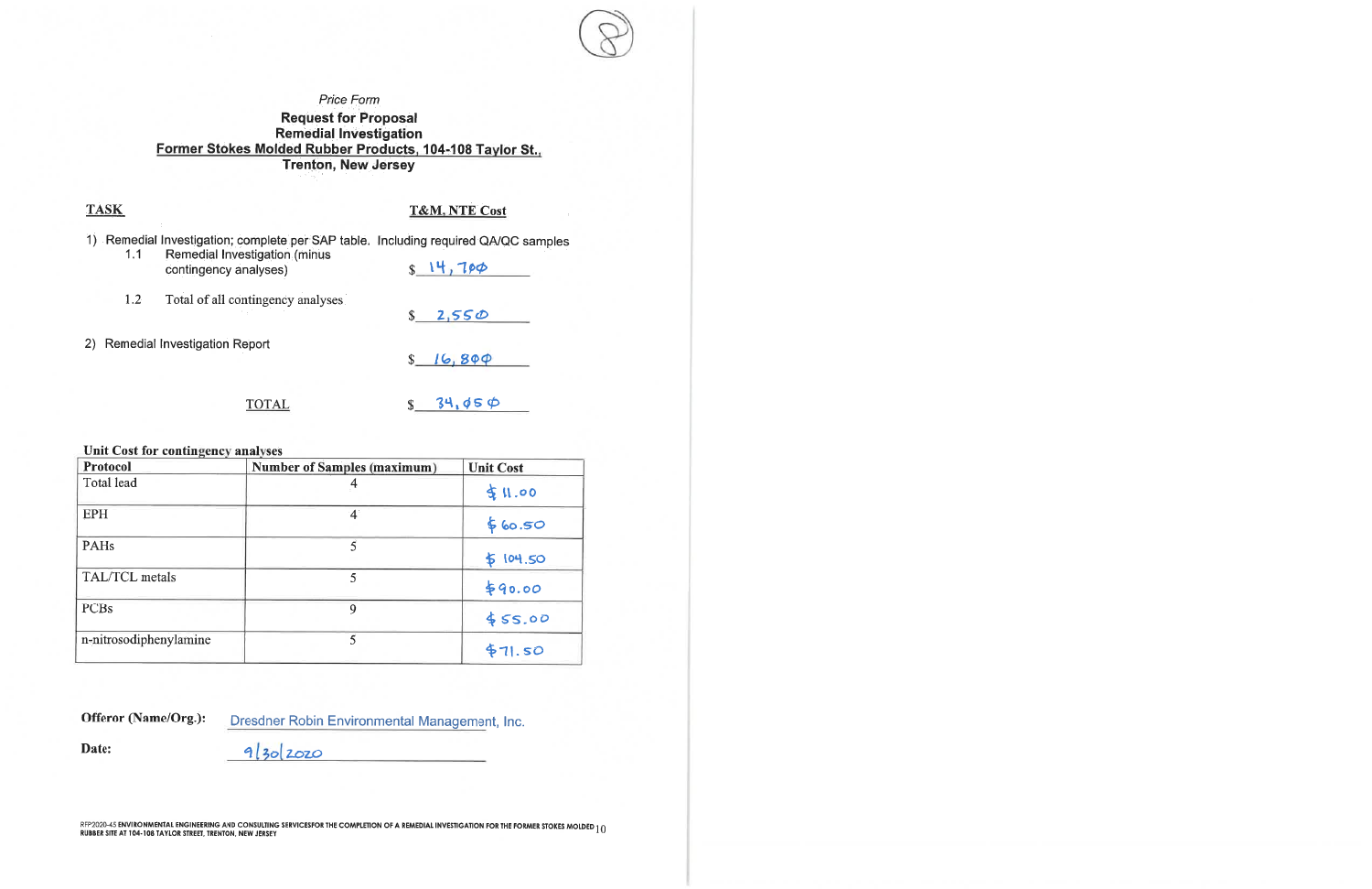

#### **Request for Proposal Remedial Investigation** Former Stokes Molded Rubber Products, 104-108 Taylor St., **Trenton, New Jersey**

#### **TASK**

#### **T&M, NTE Cost**

1) Remedial Investigation; complete per SAP table. Including required QA/QC samples Remedial Investigation (minus  $1.1$ 

 $814,700$ contingency analyses) Total of all contingency analyses  $1.2$  $$2,550$ 2) Remedial Investigation Report  $$16,800$ 

**TOTAL** 

 $34,050$ 

 $\mathbb{S}$ 

Unit Cost for contingency analyses

| <b>Protocol</b>        | <b>Number of Samples (maximum)</b> | <b>Unit Cost</b> |
|------------------------|------------------------------------|------------------|
| Total lead             |                                    | \$1.00           |
| <b>EPH</b>             | $4^{\circ}$                        | 60.50            |
| PAHs                   | 5                                  | \$104.50         |
| TAL/TCL metals         | $\overline{5}$                     | \$90.00          |
| <b>PCBs</b>            | $\mathbf Q$                        | 455.00           |
| n-nitrosodiphenylamine | 5                                  | \$71.50          |

Offeror (Name/Org.):

Dresdner Robin Environmental Management, Inc.

Date:

 $9|30|2020$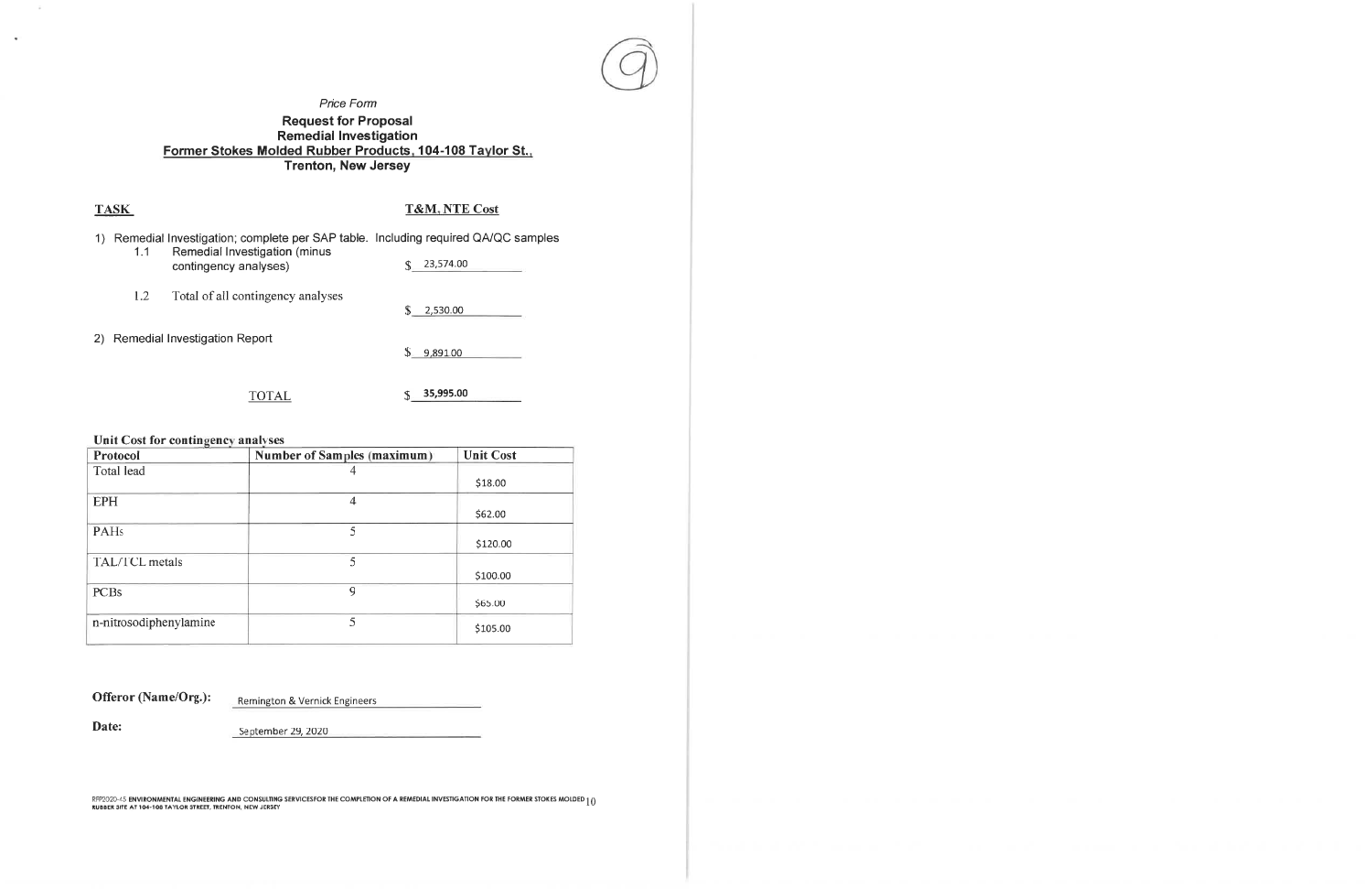#### **Request for Proposal** Remedial Investigation Former Stokes Molded Rubber Products, 104-108 Taylor St., **Trenton, New Jersey**

#### **TASK**

 $\omega$ 

#### **T&M, NTE Cost**

1) Remedial Investigation; complete per SAP table. Including required QA/QC samples<br>1.1 Remedial Investigation (minus

|     | contingency analyses)                | 23,574.00      |
|-----|--------------------------------------|----------------|
| 1.2 | Total of all contingency analyses    | \$<br>2,530.00 |
| 2)  | <b>Remedial Investigation Report</b> | \$<br>9,891.00 |
|     | TOTAL                                | 35,995.00      |

#### Unit Cost for contingency analyses

| Protocol               | <b>Number of Samples (maximum)</b> | <b>Unit Cost</b> |
|------------------------|------------------------------------|------------------|
| Total lead             | 4                                  |                  |
|                        |                                    | \$18.00          |
| <b>EPH</b>             | 4                                  |                  |
|                        |                                    | \$62.00          |
| PAHs                   |                                    |                  |
|                        |                                    | \$120.00         |
| TAL/TCL metals         | 5                                  |                  |
|                        |                                    | \$100.00         |
| <b>PCBs</b>            | 9                                  |                  |
|                        |                                    | \$65.00          |
| n-nitrosodiphenylamine | 5                                  | \$105.00         |
|                        |                                    |                  |

Offeror (Name/Org.): Remington & Vernick Engineers

Date:

September 29, 2020

 $\,$ RFP2020-45 ENVIRONMENTAL ENGINEERING AND CONSULTING SERVICESFOR THE COMPLETION OF A REMEDIAL INVESTIGATION FOR THE FORMER STOKES MOLDED  $10$ <br>RUBBER SITE AT 104-108 TAYLOR STREET, TRENTON, NEW JERSEY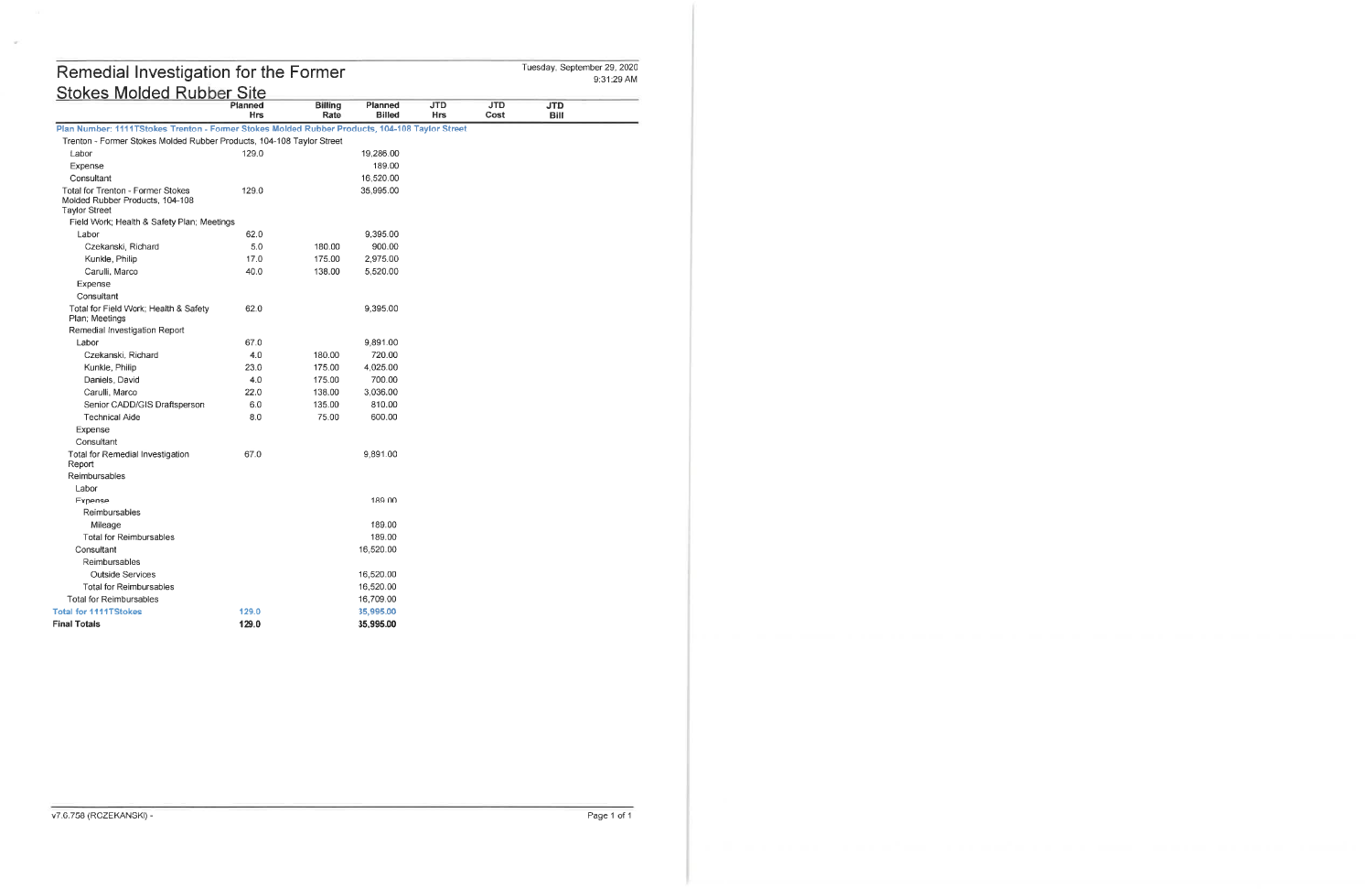# Remedial Investigation for the Former

 $\mathcal{A}^{\mu\nu}$ 

Tuesday, September 29, 2020 9:31:29 AM

|                                                                                                     | Planned    | <b>Billing</b> | Planned       | <b>JTD</b> | <b>JTD</b> | <b>JTD</b>  |
|-----------------------------------------------------------------------------------------------------|------------|----------------|---------------|------------|------------|-------------|
|                                                                                                     | <b>Hrs</b> | Rate           | <b>Billed</b> | <b>Hrs</b> | Cost       | <b>Bill</b> |
| Plan Number: 1111TStokes Trenton - Former Stokes Molded Rubber Products, 104-108 Taylor Street      |            |                |               |            |            |             |
| Trenton - Former Stokes Molded Rubber Products, 104-108 Taylor Street<br>Labor                      | 129.0      |                |               |            |            |             |
|                                                                                                     |            |                | 19,286.00     |            |            |             |
| Expense                                                                                             |            |                | 189.00        |            |            |             |
| Consultant                                                                                          |            |                | 16,520.00     |            |            |             |
| <b>Total for Trenton - Former Stokes</b><br>Molded Rubber Products, 104-108<br><b>Taylor Street</b> | 129.0      |                | 35,995.00     |            |            |             |
| Field Work; Health & Safety Plan; Meetings                                                          |            |                |               |            |            |             |
| Labor                                                                                               | 62.0       |                | 9,395.00      |            |            |             |
| Czekanski, Richard                                                                                  | 5.0        | 180.00         | 900.00        |            |            |             |
| Kunkle, Philip                                                                                      | 17.0       | 175.00         | 2,975.00      |            |            |             |
| Carulli, Marco                                                                                      | 40.0       | 138.00         | 5,520.00      |            |            |             |
| Expense                                                                                             |            |                |               |            |            |             |
| Consultant                                                                                          |            |                |               |            |            |             |
| Total for Field Work; Health & Safety<br>Plan; Meetings                                             | 62.0       |                | 9,395.00      |            |            |             |
| Remedial Investigation Report                                                                       |            |                |               |            |            |             |
| Labor                                                                                               | 67.0       |                | 9,891.00      |            |            |             |
| Czekanski, Richard                                                                                  | 4.0        | 180.00         | 720.00        |            |            |             |
| Kunkle, Philip                                                                                      | 23.0       | 175.00         | 4,025.00      |            |            |             |
| Daniels, David                                                                                      | 4.0        | 175.00         | 700.00        |            |            |             |
| Carulli, Marco                                                                                      | 22.0       | 138.00         | 3,036.00      |            |            |             |
| Senior CADD/GIS Draftsperson                                                                        | 6.0        | 135.00         | 810.00        |            |            |             |
| <b>Technical Aide</b>                                                                               | 8.0        | 75.00          | 600.00        |            |            |             |
| Expense                                                                                             |            |                |               |            |            |             |
| Consultant                                                                                          |            |                |               |            |            |             |
| Total for Remedial Investigation<br>Report                                                          | 67.0       |                | 9,891.00      |            |            |             |
| Reimbursables                                                                                       |            |                |               |            |            |             |
| Labor                                                                                               |            |                |               |            |            |             |
| Expense                                                                                             |            |                | 189.00        |            |            |             |
| Reimbursables                                                                                       |            |                |               |            |            |             |
| Mileage                                                                                             |            |                | 189.00        |            |            |             |
| <b>Total for Reimbursables</b>                                                                      |            |                | 189.00        |            |            |             |
| Consultant                                                                                          |            |                | 16,520.00     |            |            |             |
| Reimbursables                                                                                       |            |                |               |            |            |             |
| <b>Outside Services</b>                                                                             |            |                | 16,520.00     |            |            |             |
| <b>Total for Reimbursables</b>                                                                      |            |                | 16,520.00     |            |            |             |
| <b>Total for Reimbursables</b>                                                                      |            |                | 16,709.00     |            |            |             |
| <b>Total for 1111TStokes</b>                                                                        | 129.0      |                | 35,995.00     |            |            |             |
| <b>Final Totals</b>                                                                                 | 129.0      |                | 35,995.00     |            |            |             |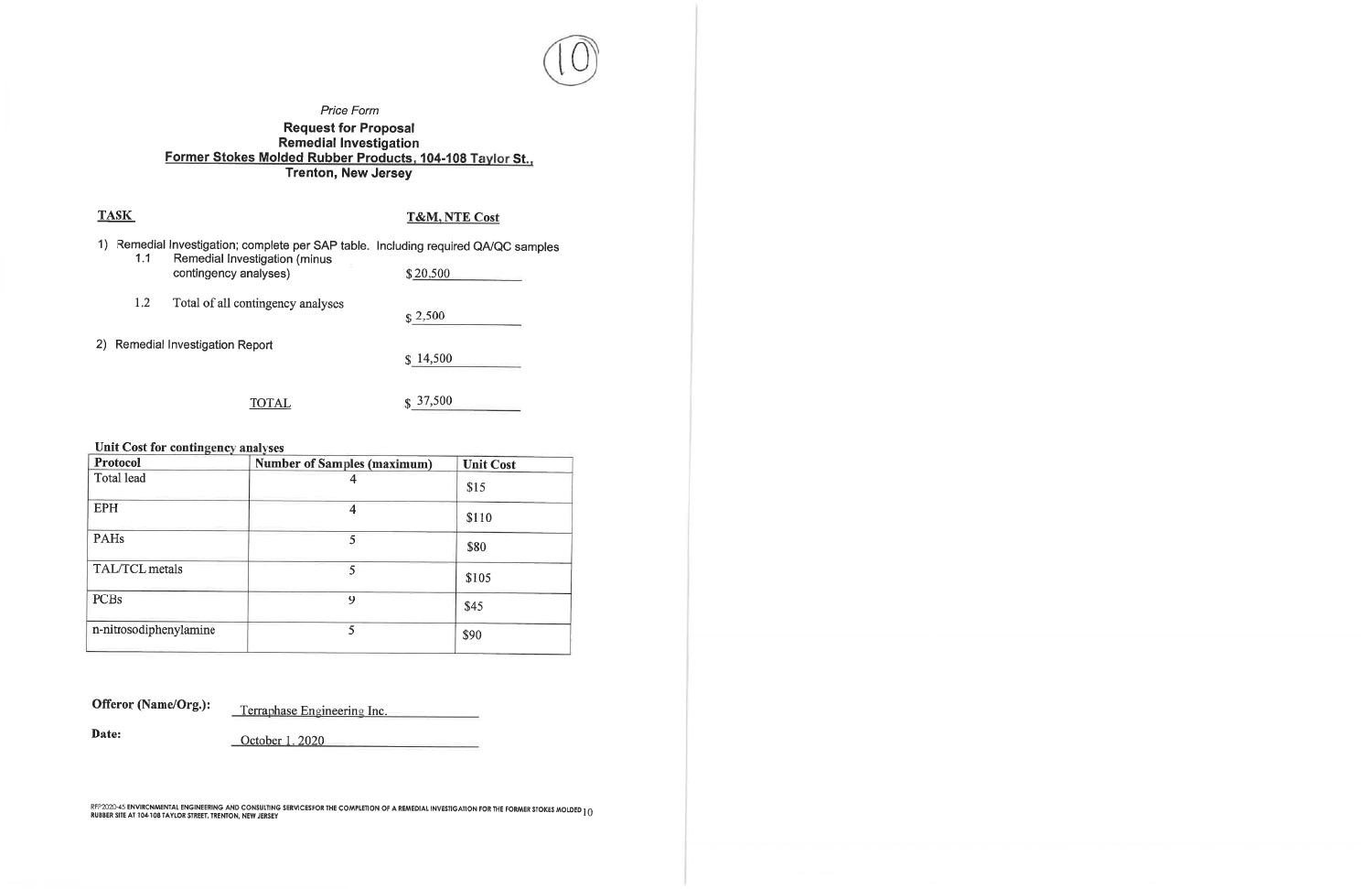

# Request for Proposal<br>Remedial Investigation<br><u>Former Stokes Molded Rubber Products, 104-108 Taylor St.,</u> **Trenton, New Jersey**

#### **TASK**

#### **T&M, NTE Cost**

1) Remedial Investigation; complete per SAP table. Including required QA/QC samples<br>1.1 Remedial Investigation (minus

|     | $\sim$<br>contingency analyses)      | \$20,500<br>and the control of the control of the con- |  |
|-----|--------------------------------------|--------------------------------------------------------|--|
| 1.2 | Total of all contingency analyses    | \$2,500                                                |  |
| 2)  | <b>Remedial Investigation Report</b> | \$14,500                                               |  |
|     | TOTAL                                | 37,500<br>$\mathbf{s}$                                 |  |

#### Unit Cost for contingency analyses

| <b>Protocol</b>        | <b>Number of Samples (maximum)</b> | <b>Unit Cost</b> |
|------------------------|------------------------------------|------------------|
| Total lead             |                                    | \$15             |
| <b>EPH</b>             | 4                                  | \$110            |
| PAHs                   | 5                                  | \$80             |
| TAL/TCL metals         |                                    | \$105            |
| <b>PCBs</b>            | 9                                  | \$45             |
| n-nitrosodiphenylamine | 5                                  | \$90             |

Offeror (Name/Org.): Terraphase Engineering Inc.

Date:

October 1, 2020